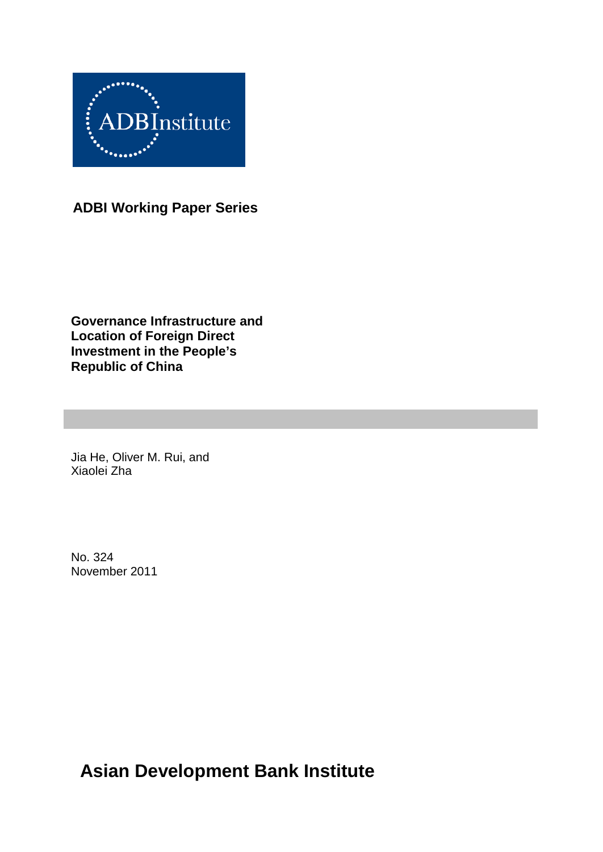

**ADBI Working Paper Series**

**Governance Infrastructure and Location of Foreign Direct Investment in the People's Republic of China**

Jia He, Oliver M. Rui, and Xiaolei Zha

No. 324 November 2011

**Asian Development Bank Institute**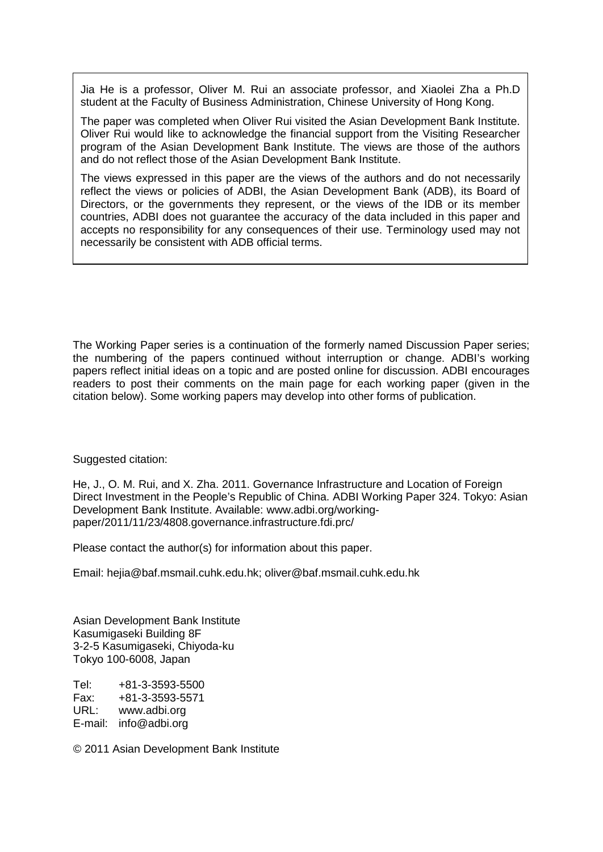Jia He is a professor, Oliver M. Rui an associate professor, and Xiaolei Zha a Ph.D student at the Faculty of Business Administration, Chinese University of Hong Kong.

The paper was completed when Oliver Rui visited the Asian Development Bank Institute. Oliver Rui would like to acknowledge the financial support from the Visiting Researcher program of the Asian Development Bank Institute. The views are those of the authors and do not reflect those of the Asian Development Bank Institute.

The views expressed in this paper are the views of the authors and do not necessarily reflect the views or policies of ADBI, the Asian Development Bank (ADB), its Board of Directors, or the governments they represent, or the views of the IDB or its member countries, ADBI does not guarantee the accuracy of the data included in this paper and accepts no responsibility for any consequences of their use. Terminology used may not necessarily be consistent with ADB official terms.

The Working Paper series is a continuation of the formerly named Discussion Paper series; the numbering of the papers continued without interruption or change. ADBI's working papers reflect initial ideas on a topic and are posted online for discussion. ADBI encourages readers to post their comments on the main page for each working paper (given in the citation below). Some working papers may develop into other forms of publication.

Suggested citation:

He, J., O. M. Rui, and X. Zha. 2011. Governance Infrastructure and Location of Foreign Direct Investment in the People's Republic of China. ADBI Working Paper 324. Tokyo: Asian Development Bank Institute. Available: www.adbi.org/workingpaper/2011/11/23/4808.governance.infrastructure.fdi.prc/

Please contact the author(s) for information about this paper.

Email: hejia@baf.msmail.cuhk.edu.hk; [oliver@baf.msmail.cuhk.edu.hk](mailto:oliver@baf.msmail.cuhk.edu.hk)

Asian Development Bank Institute Kasumigaseki Building 8F 3-2-5 Kasumigaseki, Chiyoda-ku Tokyo 100-6008, Japan

Tel: +81-3-3593-5500 Fax: +81-3-3593-5571 www.adbi.org E-mail: info@adbi.org

© 2011 Asian Development Bank Institute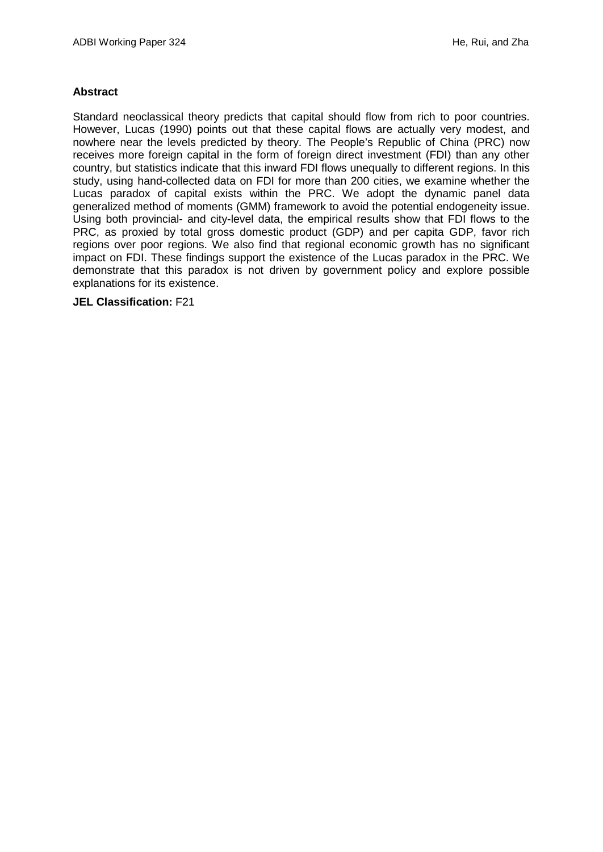#### **Abstract**

Standard neoclassical theory predicts that capital should flow from rich to poor countries. However, Lucas (1990) points out that these capital flows are actually very modest, and nowhere near the levels predicted by theory. The People's Republic of China (PRC) now receives more foreign capital in the form of foreign direct investment (FDI) than any other country, but statistics indicate that this inward FDI flows unequally to different regions. In this study, using hand-collected data on FDI for more than 200 cities, we examine whether the Lucas paradox of capital exists within the PRC. We adopt the dynamic panel data generalized method of moments (GMM) framework to avoid the potential endogeneity issue. Using both provincial- and city-level data, the empirical results show that FDI flows to the PRC, as proxied by total gross domestic product (GDP) and per capita GDP, favor rich regions over poor regions. We also find that regional economic growth has no significant impact on FDI. These findings support the existence of the Lucas paradox in the PRC. We demonstrate that this paradox is not driven by government policy and explore possible explanations for its existence.

#### **JEL Classification:** F21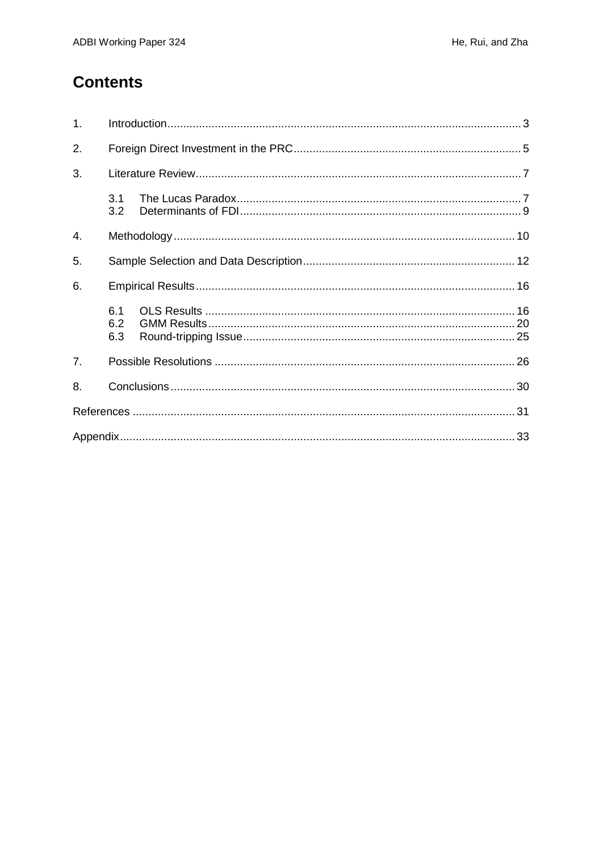## **Contents**

| 1. |                   |  |
|----|-------------------|--|
| 2. |                   |  |
| 3. |                   |  |
|    | 3.1<br>3.2        |  |
| 4. |                   |  |
| 5. |                   |  |
| 6. |                   |  |
|    | 6.1<br>6.2<br>6.3 |  |
| 7. |                   |  |
| 8. |                   |  |
|    |                   |  |
|    |                   |  |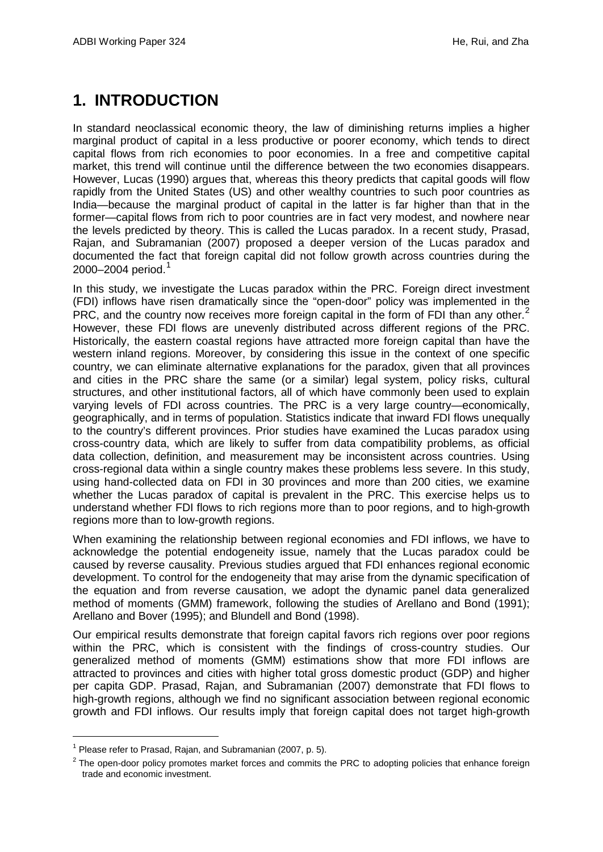## **1. INTRODUCTION**

In standard neoclassical economic theory, the law of diminishing returns implies a higher marginal product of capital in a less productive or poorer economy, which tends to direct capital flows from rich economies to poor economies. In a free and competitive capital market, this trend will continue until the difference between the two economies disappears. However, Lucas (1990) argues that, whereas this theory predicts that capital goods will flow rapidly from the United States (US) and other wealthy countries to such poor countries as India—because the marginal product of capital in the latter is far higher than that in the former—capital flows from rich to poor countries are in fact very modest, and nowhere near the levels predicted by theory. This is called the Lucas paradox. In a recent study, Prasad, Rajan, and Subramanian (2007) proposed a deeper version of the Lucas paradox and documented the fact that foreign capital did not follow growth across countries during the 2000–2004 period. [1](#page-4-0)

In this study, we investigate the Lucas paradox within the PRC. Foreign direct investment (FDI) inflows have risen dramatically since the "open-door" policy was implemented in the PRC, and the country now receives more foreign capital in the form of FDI than any other.<sup>[2](#page-4-1)</sup> However, these FDI flows are unevenly distributed across different regions of the PRC. Historically, the eastern coastal regions have attracted more foreign capital than have the western inland regions. Moreover, by considering this issue in the context of one specific country, we can eliminate alternative explanations for the paradox, given that all provinces and cities in the PRC share the same (or a similar) legal system, policy risks, cultural structures, and other institutional factors, all of which have commonly been used to explain varying levels of FDI across countries. The PRC is a very large country—economically, geographically, and in terms of population. Statistics indicate that inward FDI flows unequally to the country's different provinces. Prior studies have examined the Lucas paradox using cross-country data, which are likely to suffer from data compatibility problems, as official data collection, definition, and measurement may be inconsistent across countries. Using cross-regional data within a single country makes these problems less severe. In this study, using hand-collected data on FDI in 30 provinces and more than 200 cities, we examine whether the Lucas paradox of capital is prevalent in the PRC. This exercise helps us to understand whether FDI flows to rich regions more than to poor regions, and to high-growth regions more than to low-growth regions.

When examining the relationship between regional economies and FDI inflows, we have to acknowledge the potential endogeneity issue, namely that the Lucas paradox could be caused by reverse causality. Previous studies argued that FDI enhances regional economic development. To control for the endogeneity that may arise from the dynamic specification of the equation and from reverse causation, we adopt the dynamic panel data generalized method of moments (GMM) framework, following the studies of Arellano and Bond (1991); Arellano and Bover (1995); and Blundell and Bond (1998).

Our empirical results demonstrate that foreign capital favors rich regions over poor regions within the PRC, which is consistent with the findings of cross-country studies. Our generalized method of moments (GMM) estimations show that more FDI inflows are attracted to provinces and cities with higher total gross domestic product (GDP) and higher per capita GDP. Prasad, Rajan, and Subramanian (2007) demonstrate that FDI flows to high-growth regions, although we find no significant association between regional economic growth and FDI inflows. Our results imply that foreign capital does not target high-growth

<span id="page-4-0"></span> $1$  Please refer to Prasad, Rajan, and Subramanian (2007, p. 5).

<span id="page-4-1"></span> $2$  The open-door policy promotes market forces and commits the PRC to adopting policies that enhance foreign trade and economic investment.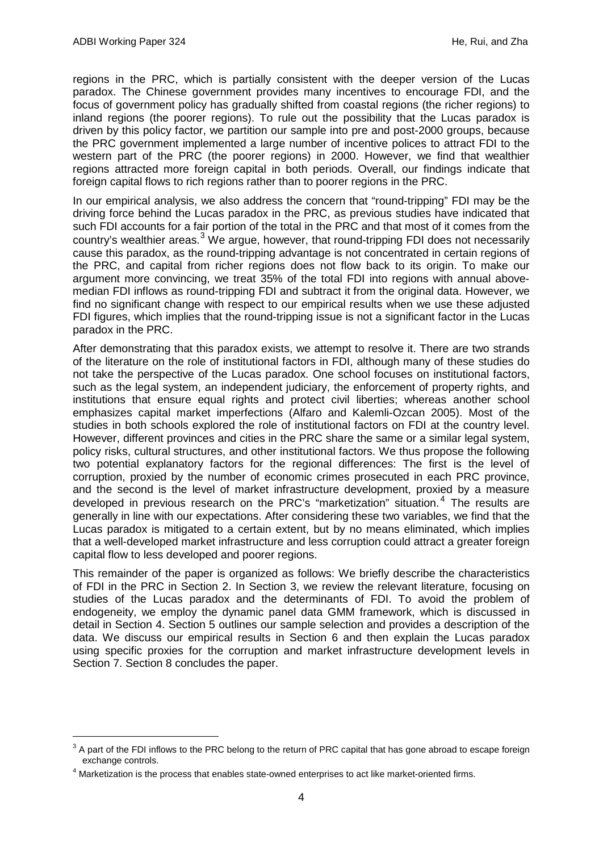regions in the PRC, which is partially consistent with the deeper version of the Lucas paradox. The Chinese government provides many incentives to encourage FDI, and the focus of government policy has gradually shifted from coastal regions (the richer regions) to inland regions (the poorer regions). To rule out the possibility that the Lucas paradox is driven by this policy factor, we partition our sample into pre and post-2000 groups, because the PRC government implemented a large number of incentive polices to attract FDI to the western part of the PRC (the poorer regions) in 2000. However, we find that wealthier regions attracted more foreign capital in both periods. Overall, our findings indicate that foreign capital flows to rich regions rather than to poorer regions in the PRC.

In our empirical analysis, we also address the concern that "round-tripping" FDI may be the driving force behind the Lucas paradox in the PRC, as previous studies have indicated that such FDI accounts for a fair portion of the total in the PRC and that most of it comes from the country's wealthier areas.<sup>[3](#page-5-0)</sup> We argue, however, that round-tripping FDI does not necessarily cause this paradox, as the round-tripping advantage is not concentrated in certain regions of the PRC, and capital from richer regions does not flow back to its origin. To make our argument more convincing, we treat 35% of the total FDI into regions with annual abovemedian FDI inflows as round-tripping FDI and subtract it from the original data. However, we find no significant change with respect to our empirical results when we use these adjusted FDI figures, which implies that the round-tripping issue is not a significant factor in the Lucas paradox in the PRC.

After demonstrating that this paradox exists, we attempt to resolve it. There are two strands of the literature on the role of institutional factors in FDI, although many of these studies do not take the perspective of the Lucas paradox. One school focuses on institutional factors, such as the legal system, an independent judiciary, the enforcement of property rights, and institutions that ensure equal rights and protect civil liberties; whereas another school emphasizes capital market imperfections (Alfaro and Kalemli-Ozcan 2005). Most of the studies in both schools explored the role of institutional factors on FDI at the country level. However, different provinces and cities in the PRC share the same or a similar legal system, policy risks, cultural structures, and other institutional factors. We thus propose the following two potential explanatory factors for the regional differences: The first is the level of corruption, proxied by the number of economic crimes prosecuted in each PRC province, and the second is the level of market infrastructure development, proxied by a measure developed in previous research on the PRC's "marketization" situation.<sup>[4](#page-5-1)</sup> The results are generally in line with our expectations. After considering these two variables, we find that the Lucas paradox is mitigated to a certain extent, but by no means eliminated, which implies that a well-developed market infrastructure and less corruption could attract a greater foreign capital flow to less developed and poorer regions.

This remainder of the paper is organized as follows: We briefly describe the characteristics of FDI in the PRC in Section 2. In Section 3, we review the relevant literature, focusing on studies of the Lucas paradox and the determinants of FDI. To avoid the problem of endogeneity, we employ the dynamic panel data GMM framework, which is discussed in detail in Section 4. Section 5 outlines our sample selection and provides a description of the data. We discuss our empirical results in Section 6 and then explain the Lucas paradox using specific proxies for the corruption and market infrastructure development levels in Section 7. Section 8 concludes the paper.

<span id="page-5-0"></span> $3$  A part of the FDI inflows to the PRC belong to the return of PRC capital that has gone abroad to escape foreign exchange controls.

<span id="page-5-1"></span> $<sup>4</sup>$  Marketization is the process that enables state-owned enterprises to act like market-oriented firms.</sup>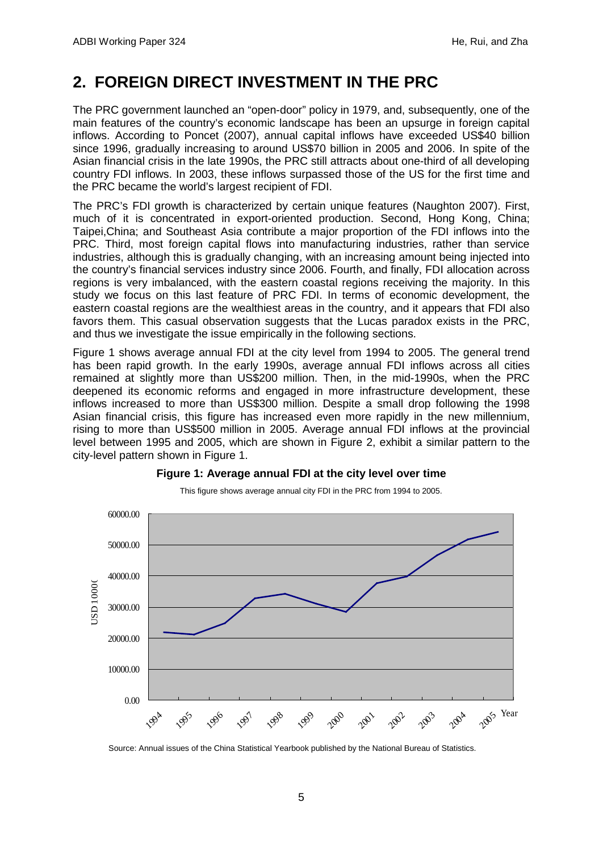## **2. FOREIGN DIRECT INVESTMENT IN THE PRC**

The PRC government launched an "open-door" policy in 1979, and, subsequently, one of the main features of the country's economic landscape has been an upsurge in foreign capital inflows. According to Poncet (2007), annual capital inflows have exceeded US\$40 billion since 1996, gradually increasing to around US\$70 billion in 2005 and 2006. In spite of the Asian financial crisis in the late 1990s, the PRC still attracts about one-third of all developing country FDI inflows. In 2003, these inflows surpassed those of the US for the first time and the PRC became the world's largest recipient of FDI.

The PRC's FDI growth is characterized by certain unique features (Naughton 2007). First, much of it is concentrated in export-oriented production. Second, Hong Kong, China; Taipei,China; and Southeast Asia contribute a major proportion of the FDI inflows into the PRC. Third, most foreign capital flows into manufacturing industries, rather than service industries, although this is gradually changing, with an increasing amount being injected into the country's financial services industry since 2006. Fourth, and finally, FDI allocation across regions is very imbalanced, with the eastern coastal regions receiving the majority. In this study we focus on this last feature of PRC FDI. In terms of economic development, the eastern coastal regions are the wealthiest areas in the country, and it appears that FDI also favors them. This casual observation suggests that the Lucas paradox exists in the PRC, and thus we investigate the issue empirically in the following sections.

Figure 1 shows average annual FDI at the city level from 1994 to 2005. The general trend has been rapid growth. In the early 1990s, average annual FDI inflows across all cities remained at slightly more than US\$200 million. Then, in the mid-1990s, when the PRC deepened its economic reforms and engaged in more infrastructure development, these inflows increased to more than US\$300 million. Despite a small drop following the 1998 Asian financial crisis, this figure has increased even more rapidly in the new millennium, rising to more than US\$500 million in 2005. Average annual FDI inflows at the provincial level between 1995 and 2005, which are shown in Figure 2, exhibit a similar pattern to the city-level pattern shown in Figure 1.



#### **Figure 1: Average annual FDI at the city level over time**

Source: Annual issues of the China Statistical Yearbook published by the National Bureau of Statistics.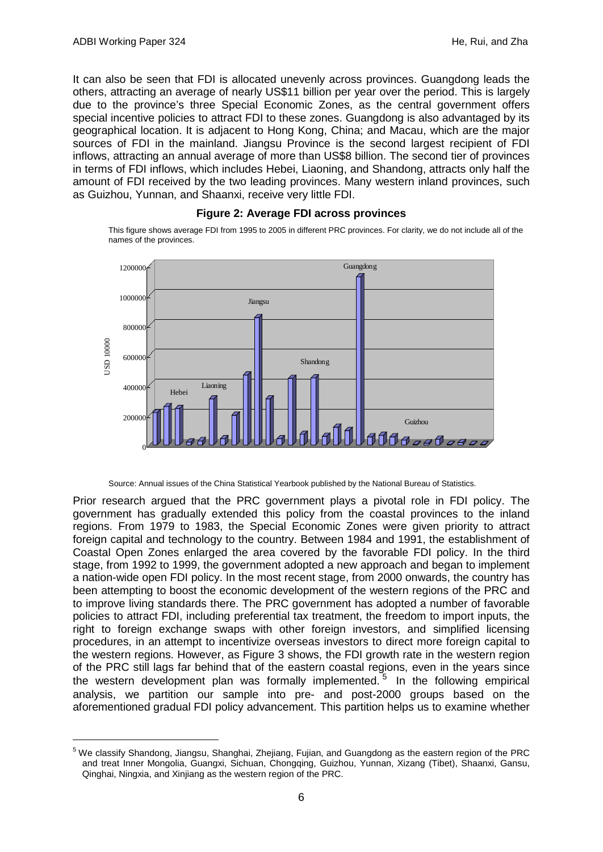It can also be seen that FDI is allocated unevenly across provinces. Guangdong leads the others, attracting an average of nearly US\$11 billion per year over the period. This is largely due to the province's three Special Economic Zones, as the central government offers special incentive policies to attract FDI to these zones. Guangdong is also advantaged by its geographical location. It is adjacent to Hong Kong, China; and Macau, which are the major sources of FDI in the mainland. Jiangsu Province is the second largest recipient of FDI inflows, attracting an annual average of more than US\$8 billion. The second tier of provinces in terms of FDI inflows, which includes Hebei, Liaoning, and Shandong, attracts only half the amount of FDI received by the two leading provinces. Many western inland provinces, such as Guizhou, Yunnan, and Shaanxi, receive very little FDI.



#### **Figure 2: Average FDI across provinces**

This figure shows average FDI from 1995 to 2005 in different PRC provinces. For clarity, we do not include all of the names of the provinces.

Prior research argued that the PRC government plays a pivotal role in FDI policy. The government has gradually extended this policy from the coastal provinces to the inland regions. From 1979 to 1983, the Special Economic Zones were given priority to attract foreign capital and technology to the country. Between 1984 and 1991, the establishment of Coastal Open Zones enlarged the area covered by the favorable FDI policy. In the third stage, from 1992 to 1999, the government adopted a new approach and began to implement a nation-wide open FDI policy. In the most recent stage, from 2000 onwards, the country has been attempting to boost the economic development of the western regions of the PRC and to improve living standards there. The PRC government has adopted a number of favorable policies to attract FDI, including preferential tax treatment, the freedom to import inputs, the right to foreign exchange swaps with other foreign investors, and simplified licensing procedures, in an attempt to incentivize overseas investors to direct more foreign capital to the western regions. However, as Figure 3 shows, the FDI growth rate in the western region of the PRC still lags far behind that of the eastern coastal regions, even in the years since the western development plan was formally implemented.<sup>[5](#page-7-0)</sup> In the following empirical analysis, we partition our sample into pre- and post-2000 groups based on the aforementioned gradual FDI policy advancement. This partition helps us to examine whether

Source: Annual issues of the China Statistical Yearbook published by the National Bureau of Statistics.

<span id="page-7-0"></span> <sup>5</sup> We classify Shandong, Jiangsu, Shanghai, Zhejiang, Fujian, and Guangdong as the eastern region of the PRC and treat Inner Mongolia, Guangxi, Sichuan, Chongqing, Guizhou, Yunnan, Xizang (Tibet), Shaanxi, Gansu, Qinghai, Ningxia, and Xinjiang as the western region of the PRC.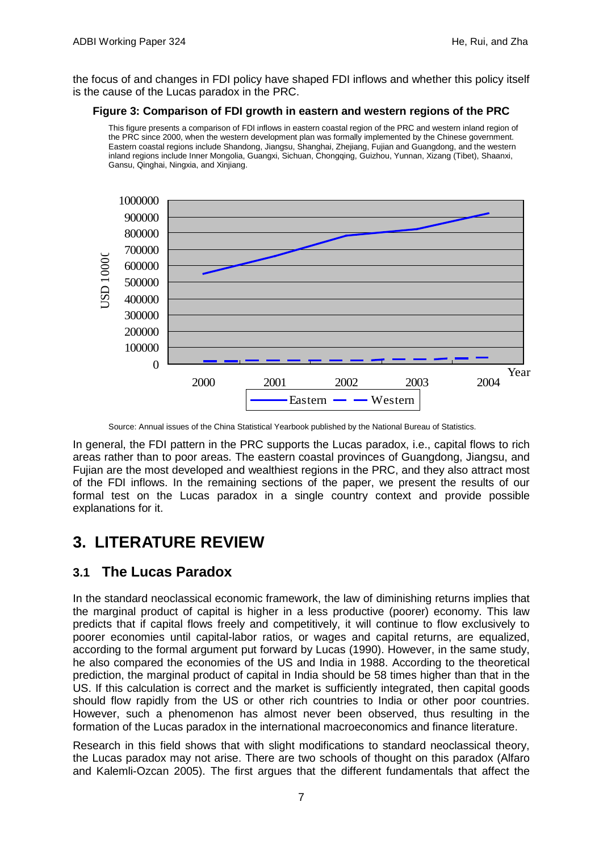the focus of and changes in FDI policy have shaped FDI inflows and whether this policy itself is the cause of the Lucas paradox in the PRC.

#### **Figure 3: Comparison of FDI growth in eastern and western regions of the PRC**

This figure presents a comparison of FDI inflows in eastern coastal region of the PRC and western inland region of the PRC since 2000, when the western development plan was formally implemented by the Chinese government. Eastern coastal regions include Shandong, Jiangsu, Shanghai, Zhejiang, Fujian and Guangdong, and the western inland regions include Inner Mongolia, Guangxi, Sichuan, Chongqing, Guizhou, Yunnan, Xizang (Tibet), Shaanxi, Gansu, Qinghai, Ningxia, and Xinjiang.



Source: Annual issues of the China Statistical Yearbook published by the National Bureau of Statistics.

In general, the FDI pattern in the PRC supports the Lucas paradox, i.e., capital flows to rich areas rather than to poor areas. The eastern coastal provinces of Guangdong, Jiangsu, and Fujian are the most developed and wealthiest regions in the PRC, and they also attract most of the FDI inflows. In the remaining sections of the paper, we present the results of our formal test on the Lucas paradox in a single country context and provide possible explanations for it.

## **3. LITERATURE REVIEW**

### **3.1 The Lucas Paradox**

In the standard neoclassical economic framework, the law of diminishing returns implies that the marginal product of capital is higher in a less productive (poorer) economy. This law predicts that if capital flows freely and competitively, it will continue to flow exclusively to poorer economies until capital-labor ratios, or wages and capital returns, are equalized, according to the formal argument put forward by Lucas (1990). However, in the same study, he also compared the economies of the US and India in 1988. According to the theoretical prediction, the marginal product of capital in India should be 58 times higher than that in the US. If this calculation is correct and the market is sufficiently integrated, then capital goods should flow rapidly from the US or other rich countries to India or other poor countries. However, such a phenomenon has almost never been observed, thus resulting in the formation of the Lucas paradox in the international macroeconomics and finance literature.

Research in this field shows that with slight modifications to standard neoclassical theory, the Lucas paradox may not arise. There are two schools of thought on this paradox (Alfaro and Kalemli-Ozcan 2005). The first argues that the different fundamentals that affect the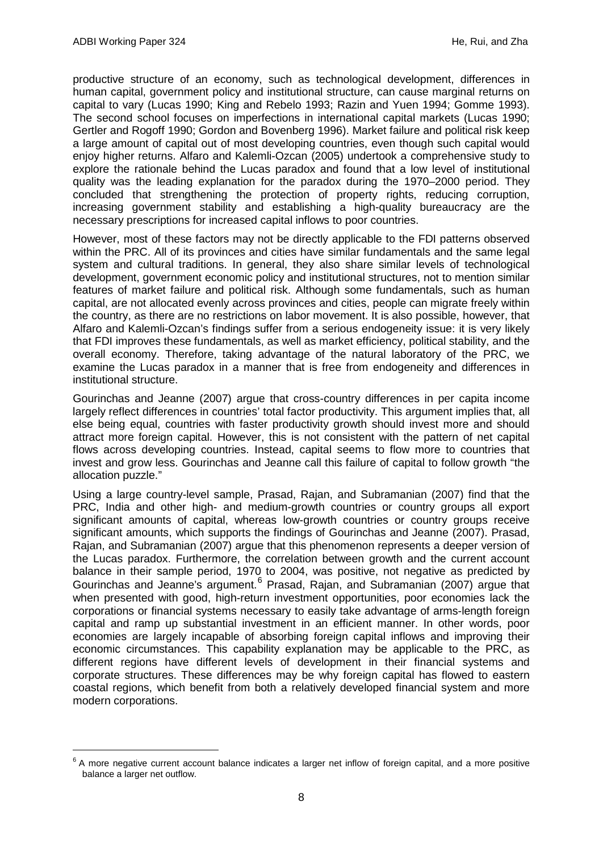productive structure of an economy, such as technological development, differences in human capital, government policy and institutional structure, can cause marginal returns on capital to vary (Lucas 1990; King and Rebelo 1993; Razin and Yuen 1994; Gomme 1993). The second school focuses on imperfections in international capital markets (Lucas 1990; Gertler and Rogoff 1990; Gordon and Bovenberg 1996). Market failure and political risk keep a large amount of capital out of most developing countries, even though such capital would enjoy higher returns. Alfaro and Kalemli-Ozcan (2005) undertook a comprehensive study to explore the rationale behind the Lucas paradox and found that a low level of institutional quality was the leading explanation for the paradox during the 1970–2000 period. They concluded that strengthening the protection of property rights, reducing corruption, increasing government stability and establishing a high-quality bureaucracy are the necessary prescriptions for increased capital inflows to poor countries.

However, most of these factors may not be directly applicable to the FDI patterns observed within the PRC. All of its provinces and cities have similar fundamentals and the same legal system and cultural traditions. In general, they also share similar levels of technological development, government economic policy and institutional structures, not to mention similar features of market failure and political risk. Although some fundamentals, such as human capital, are not allocated evenly across provinces and cities, people can migrate freely within the country, as there are no restrictions on labor movement. It is also possible, however, that Alfaro and Kalemli-Ozcan's findings suffer from a serious endogeneity issue: it is very likely that FDI improves these fundamentals, as well as market efficiency, political stability, and the overall economy. Therefore, taking advantage of the natural laboratory of the PRC, we examine the Lucas paradox in a manner that is free from endogeneity and differences in institutional structure.

Gourinchas and Jeanne (2007) argue that cross-country differences in per capita income largely reflect differences in countries' total factor productivity. This argument implies that, all else being equal, countries with faster productivity growth should invest more and should attract more foreign capital. However, this is not consistent with the pattern of net capital flows across developing countries. Instead, capital seems to flow more to countries that invest and grow less. Gourinchas and Jeanne call this failure of capital to follow growth "the allocation puzzle."

Using a large country-level sample, Prasad, Rajan, and Subramanian (2007) find that the PRC, India and other high- and medium-growth countries or country groups all export significant amounts of capital, whereas low-growth countries or country groups receive significant amounts, which supports the findings of Gourinchas and Jeanne (2007). Prasad, Rajan, and Subramanian (2007) argue that this phenomenon represents a deeper version of the Lucas paradox. Furthermore, the correlation between growth and the current account balance in their sample period, 1970 to 2004, was positive, not negative as predicted by Gourinchas and Jeanne's argument.<sup>[6](#page-9-0)</sup> Prasad, Rajan, and Subramanian (2007) argue that when presented with good, high-return investment opportunities, poor economies lack the corporations or financial systems necessary to easily take advantage of arms-length foreign capital and ramp up substantial investment in an efficient manner. In other words, poor economies are largely incapable of absorbing foreign capital inflows and improving their economic circumstances. This capability explanation may be applicable to the PRC, as different regions have different levels of development in their financial systems and corporate structures. These differences may be why foreign capital has flowed to eastern coastal regions, which benefit from both a relatively developed financial system and more modern corporations.

<span id="page-9-0"></span> $6$  A more negative current account balance indicates a larger net inflow of foreign capital, and a more positive balance a larger net outflow.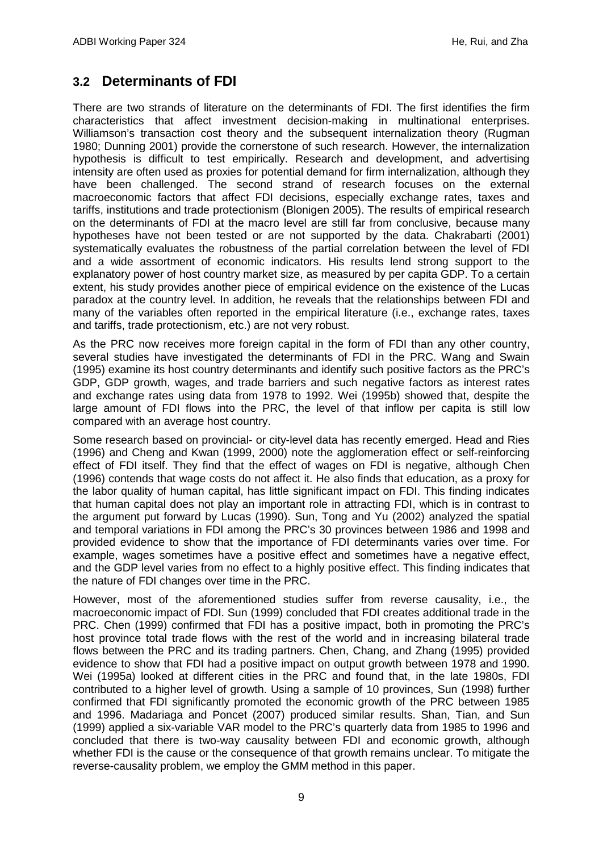### **3.2 Determinants of FDI**

There are two strands of literature on the determinants of FDI. The first identifies the firm characteristics that affect investment decision-making in multinational enterprises. Williamson's transaction cost theory and the subsequent internalization theory (Rugman 1980; Dunning 2001) provide the cornerstone of such research. However, the internalization hypothesis is difficult to test empirically. Research and development, and advertising intensity are often used as proxies for potential demand for firm internalization, although they have been challenged. The second strand of research focuses on the external macroeconomic factors that affect FDI decisions, especially exchange rates, taxes and tariffs, institutions and trade protectionism (Blonigen 2005). The results of empirical research on the determinants of FDI at the macro level are still far from conclusive, because many hypotheses have not been tested or are not supported by the data. Chakrabarti (2001) systematically evaluates the robustness of the partial correlation between the level of FDI and a wide assortment of economic indicators. His results lend strong support to the explanatory power of host country market size, as measured by per capita GDP. To a certain extent, his study provides another piece of empirical evidence on the existence of the Lucas paradox at the country level. In addition, he reveals that the relationships between FDI and many of the variables often reported in the empirical literature (i.e., exchange rates, taxes and tariffs, trade protectionism, etc.) are not very robust.

As the PRC now receives more foreign capital in the form of FDI than any other country, several studies have investigated the determinants of FDI in the PRC. Wang and Swain (1995) examine its host country determinants and identify such positive factors as the PRC's GDP, GDP growth, wages, and trade barriers and such negative factors as interest rates and exchange rates using data from 1978 to 1992. Wei (1995b) showed that, despite the large amount of FDI flows into the PRC, the level of that inflow per capita is still low compared with an average host country.

Some research based on provincial- or city-level data has recently emerged. Head and Ries (1996) and Cheng and Kwan (1999, 2000) note the agglomeration effect or self-reinforcing effect of FDI itself. They find that the effect of wages on FDI is negative, although Chen (1996) contends that wage costs do not affect it. He also finds that education, as a proxy for the labor quality of human capital, has little significant impact on FDI. This finding indicates that human capital does not play an important role in attracting FDI, which is in contrast to the argument put forward by Lucas (1990). Sun, Tong and Yu (2002) analyzed the spatial and temporal variations in FDI among the PRC's 30 provinces between 1986 and 1998 and provided evidence to show that the importance of FDI determinants varies over time. For example, wages sometimes have a positive effect and sometimes have a negative effect, and the GDP level varies from no effect to a highly positive effect. This finding indicates that the nature of FDI changes over time in the PRC.

However, most of the aforementioned studies suffer from reverse causality, i.e., the macroeconomic impact of FDI. Sun (1999) concluded that FDI creates additional trade in the PRC. Chen (1999) confirmed that FDI has a positive impact, both in promoting the PRC's host province total trade flows with the rest of the world and in increasing bilateral trade flows between the PRC and its trading partners. Chen, Chang, and Zhang (1995) provided evidence to show that FDI had a positive impact on output growth between 1978 and 1990. Wei (1995a) looked at different cities in the PRC and found that, in the late 1980s, FDI contributed to a higher level of growth. Using a sample of 10 provinces, Sun (1998) further confirmed that FDI significantly promoted the economic growth of the PRC between 1985 and 1996. Madariaga and Poncet (2007) produced similar results. Shan, Tian, and Sun (1999) applied a six-variable VAR model to the PRC's quarterly data from 1985 to 1996 and concluded that there is two-way causality between FDI and economic growth, although whether FDI is the cause or the consequence of that growth remains unclear. To mitigate the reverse-causality problem, we employ the GMM method in this paper.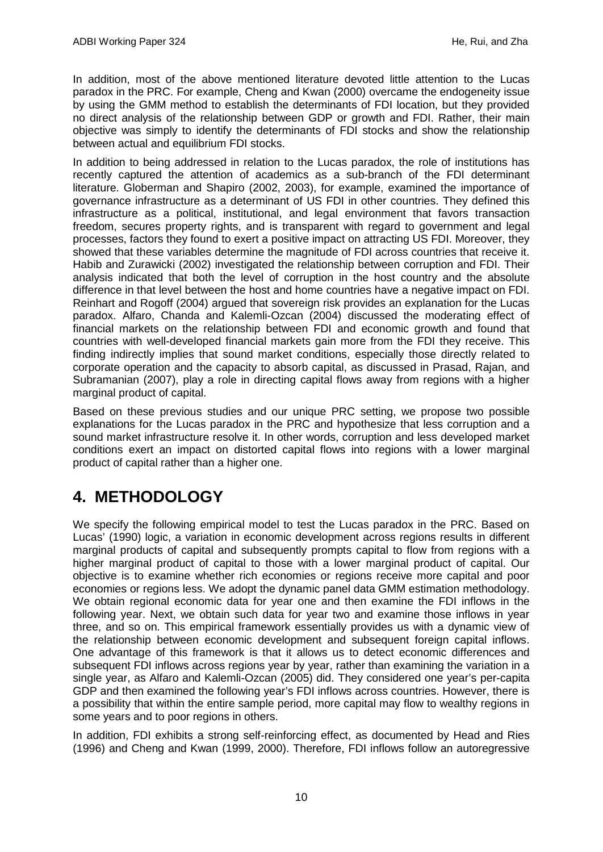In addition, most of the above mentioned literature devoted little attention to the Lucas paradox in the PRC. For example, Cheng and Kwan (2000) overcame the endogeneity issue by using the GMM method to establish the determinants of FDI location, but they provided no direct analysis of the relationship between GDP or growth and FDI. Rather, their main objective was simply to identify the determinants of FDI stocks and show the relationship between actual and equilibrium FDI stocks.

In addition to being addressed in relation to the Lucas paradox, the role of institutions has recently captured the attention of academics as a sub-branch of the FDI determinant literature. Globerman and Shapiro (2002, 2003), for example, examined the importance of governance infrastructure as a determinant of US FDI in other countries. They defined this infrastructure as a political, institutional, and legal environment that favors transaction freedom, secures property rights, and is transparent with regard to government and legal processes, factors they found to exert a positive impact on attracting US FDI. Moreover, they showed that these variables determine the magnitude of FDI across countries that receive it. Habib and Zurawicki (2002) investigated the relationship between corruption and FDI. Their analysis indicated that both the level of corruption in the host country and the absolute difference in that level between the host and home countries have a negative impact on FDI. Reinhart and Rogoff (2004) argued that sovereign risk provides an explanation for the Lucas paradox. Alfaro, Chanda and Kalemli-Ozcan (2004) discussed the moderating effect of financial markets on the relationship between FDI and economic growth and found that countries with well-developed financial markets gain more from the FDI they receive. This finding indirectly implies that sound market conditions, especially those directly related to corporate operation and the capacity to absorb capital, as discussed in Prasad, Rajan, and Subramanian (2007), play a role in directing capital flows away from regions with a higher marginal product of capital.

Based on these previous studies and our unique PRC setting, we propose two possible explanations for the Lucas paradox in the PRC and hypothesize that less corruption and a sound market infrastructure resolve it. In other words, corruption and less developed market conditions exert an impact on distorted capital flows into regions with a lower marginal product of capital rather than a higher one.

# **4. METHODOLOGY**

We specify the following empirical model to test the Lucas paradox in the PRC. Based on Lucas' (1990) logic, a variation in economic development across regions results in different marginal products of capital and subsequently prompts capital to flow from regions with a higher marginal product of capital to those with a lower marginal product of capital. Our objective is to examine whether rich economies or regions receive more capital and poor economies or regions less. We adopt the dynamic panel data GMM estimation methodology. We obtain regional economic data for year one and then examine the FDI inflows in the following year. Next, we obtain such data for year two and examine those inflows in year three, and so on. This empirical framework essentially provides us with a dynamic view of the relationship between economic development and subsequent foreign capital inflows. One advantage of this framework is that it allows us to detect economic differences and subsequent FDI inflows across regions year by year, rather than examining the variation in a single year, as Alfaro and Kalemli-Ozcan (2005) did. They considered one year's per-capita GDP and then examined the following year's FDI inflows across countries. However, there is a possibility that within the entire sample period, more capital may flow to wealthy regions in some years and to poor regions in others.

In addition, FDI exhibits a strong self-reinforcing effect, as documented by Head and Ries (1996) and Cheng and Kwan (1999, 2000). Therefore, FDI inflows follow an autoregressive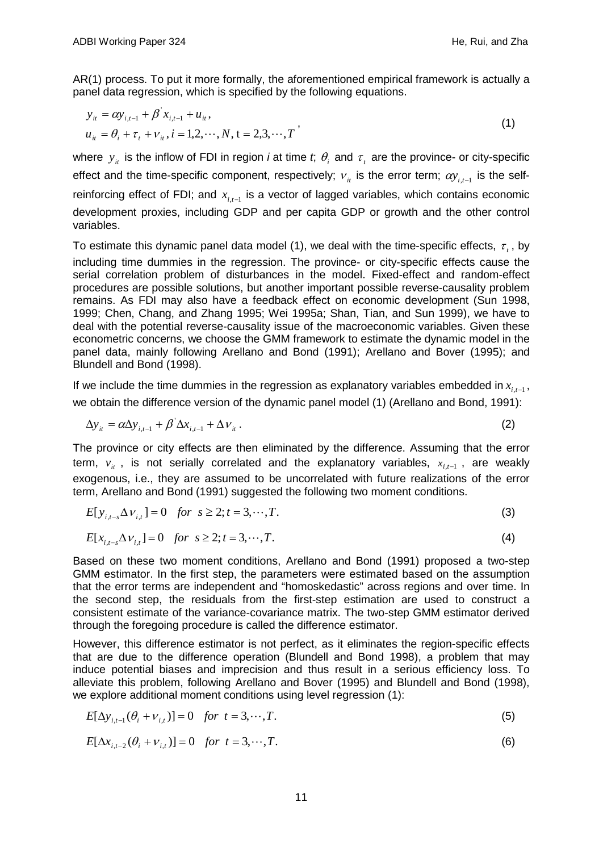AR(1) process. To put it more formally, the aforementioned empirical framework is actually a panel data regression, which is specified by the following equations.

$$
y_{it} = \alpha y_{i,t-1} + \beta' x_{i,t-1} + u_{it},
$$
  
\n
$$
u_{it} = \theta_i + \tau_t + v_{it}, i = 1, 2, \cdots, N, t = 2, 3, \cdots, T'
$$
\n(1)

where  $y_{i}$  is the inflow of FDI in region *i* at time *t*;  $\theta_i$  and  $\tau_i$  are the province- or city-specific effect and the time-specific component, respectively;  $v_{it}$  is the error term;  $\alpha y_{it-1}$  is the selfreinforcing effect of FDI; and x<sub>itel</sub> is a vector of lagged variables, which contains economic development proxies, including GDP and per capita GDP or growth and the other control variables.

To estimate this dynamic panel data model (1), we deal with the time-specific effects,  $\tau_t$ , by including time dummies in the regression. The province- or city-specific effects cause the serial correlation problem of disturbances in the model. Fixed-effect and random-effect procedures are possible solutions, but another important possible reverse-causality problem remains. As FDI may also have a feedback effect on economic development (Sun 1998, 1999; Chen, Chang, and Zhang 1995; Wei 1995a; Shan, Tian, and Sun 1999), we have to deal with the potential reverse-causality issue of the macroeconomic variables. Given these econometric concerns, we choose the GMM framework to estimate the dynamic model in the panel data, mainly following Arellano and Bond (1991); Arellano and Bover (1995); and Blundell and Bond (1998).

If we include the time dummies in the regression as explanatory variables embedded in  $x_i$ <sub> $t-1$ </sub>, we obtain the difference version of the dynamic panel model (1) (Arellano and Bond, 1991):

$$
\Delta y_{it} = \alpha \Delta y_{i,t-1} + \beta' \Delta x_{i,t-1} + \Delta v_{it} \tag{2}
$$

The province or city effects are then eliminated by the difference. Assuming that the error term,  $v_{it}$ , is not serially correlated and the explanatory variables,  $x_{i,t-1}$ , are weakly exogenous, i.e., they are assumed to be uncorrelated with future realizations of the error term, Arellano and Bond (1991) suggested the following two moment conditions.

$$
E[y_{i,t-s} \Delta v_{i,t}] = 0 \quad \text{for} \quad s \ge 2; t = 3, \cdots, T. \tag{3}
$$

$$
E[x_{i,t-s}\Delta v_{i,t}] = 0 \quad \text{for} \quad s \ge 2; t = 3,\cdots,T. \tag{4}
$$

Based on these two moment conditions, Arellano and Bond (1991) proposed a two-step GMM estimator. In the first step, the parameters were estimated based on the assumption that the error terms are independent and "homoskedastic" across regions and over time. In the second step, the residuals from the first-step estimation are used to construct a consistent estimate of the variance-covariance matrix. The two-step GMM estimator derived through the foregoing procedure is called the difference estimator.

However, this difference estimator is not perfect, as it eliminates the region-specific effects that are due to the difference operation (Blundell and Bond 1998), a problem that may induce potential biases and imprecision and thus result in a serious efficiency loss. To alleviate this problem, following Arellano and Bover (1995) and Blundell and Bond (1998), we explore additional moment conditions using level regression (1):

$$
E[\Delta y_{i,t-1}(\theta_i + \nu_{i,t})] = 0 \quad \text{for} \quad t = 3, \cdots, T. \tag{5}
$$

$$
E[\Delta x_{i,t-2}(\theta_i + v_{i,t})] = 0 \quad \text{for} \quad t = 3, \cdots, T. \tag{6}
$$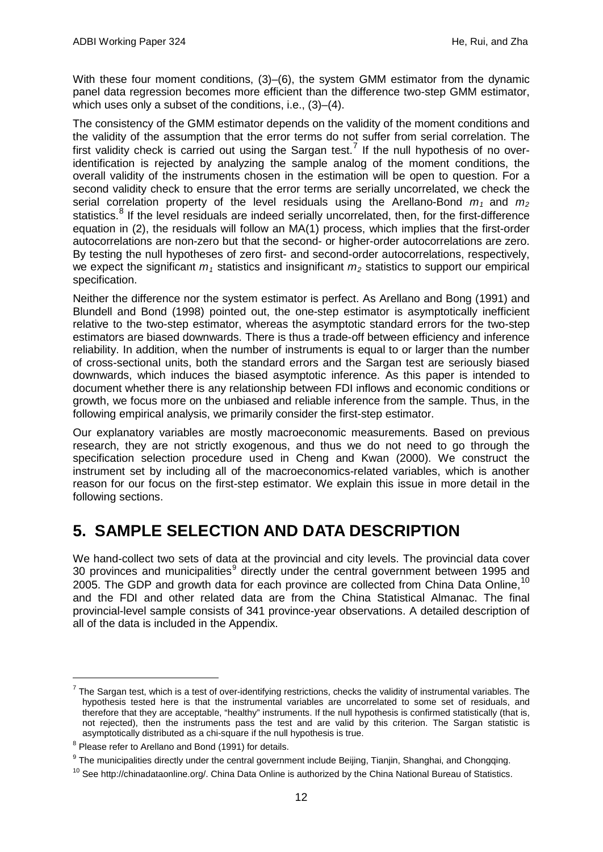With these four moment conditions, (3)–(6), the system GMM estimator from the dynamic panel data regression becomes more efficient than the difference two-step GMM estimator, which uses only a subset of the conditions, i.e., (3)–(4).

The consistency of the GMM estimator depends on the validity of the moment conditions and the validity of the assumption that the error terms do not suffer from serial correlation. The first validity check is carried out using the Sargan test.<sup>[7](#page-13-0)</sup> If the null hypothesis of no overidentification is rejected by analyzing the sample analog of the moment conditions, the overall validity of the instruments chosen in the estimation will be open to question. For a second validity check to ensure that the error terms are serially uncorrelated, we check the serial correlation property of the level residuals using the Arellano-Bond  $m_1$  and  $m_2$ statistics.<sup>[8](#page-13-1)</sup> If the level residuals are indeed serially uncorrelated, then, for the first-difference equation in (2), the residuals will follow an MA(1) process, which implies that the first-order autocorrelations are non-zero but that the second- or higher-order autocorrelations are zero. By testing the null hypotheses of zero first- and second-order autocorrelations, respectively, we expect the significant  $m_1$  statistics and insignificant  $m_2$  statistics to support our empirical specification.

Neither the difference nor the system estimator is perfect. As Arellano and Bong (1991) and Blundell and Bond (1998) pointed out, the one-step estimator is asymptotically inefficient relative to the two-step estimator, whereas the asymptotic standard errors for the two-step estimators are biased downwards. There is thus a trade-off between efficiency and inference reliability. In addition, when the number of instruments is equal to or larger than the number of cross-sectional units, both the standard errors and the Sargan test are seriously biased downwards, which induces the biased asymptotic inference. As this paper is intended to document whether there is any relationship between FDI inflows and economic conditions or growth, we focus more on the unbiased and reliable inference from the sample. Thus, in the following empirical analysis, we primarily consider the first-step estimator.

Our explanatory variables are mostly macroeconomic measurements. Based on previous research, they are not strictly exogenous, and thus we do not need to go through the specification selection procedure used in Cheng and Kwan (2000). We construct the instrument set by including all of the macroeconomics-related variables, which is another reason for our focus on the first-step estimator. We explain this issue in more detail in the following sections.

## **5. SAMPLE SELECTION AND DATA DESCRIPTION**

We hand-collect two sets of data at the provincial and city levels. The provincial data cover 30 provinces and municipalities<sup>[9](#page-13-2)</sup> directly under the central government between 1995 and 2005. The GDP and growth data for each province are collected from China Data Online, [10](#page-13-3) and the FDI and other related data are from the China Statistical Almanac. The final provincial-level sample consists of 341 province-year observations. A detailed description of all of the data is included in the Appendix.

<span id="page-13-0"></span>The Sargan test, which is a test of over-identifying restrictions, checks the validity of instrumental variables. The hypothesis tested here is that the instrumental variables are uncorrelated to some set of residuals, and therefore that they are acceptable, "healthy" instruments. If the null hypothesis is confirmed statistically (that is, not rejected), then the instruments pass the test and are valid by this criterion. The Sargan statistic is asymptotically distributed as a chi-square if the null hypothesis is true.

<span id="page-13-1"></span><sup>&</sup>lt;sup>8</sup> Please refer to Arellano and Bond (1991) for details.

<span id="page-13-2"></span><sup>&</sup>lt;sup>9</sup> The municipalities directly under the central government include Beijing, Tianjin, Shanghai, and Chongqing.

<span id="page-13-3"></span> $10$  See http://chinadataonline.org/. China Data Online is authorized by the China National Bureau of Statistics.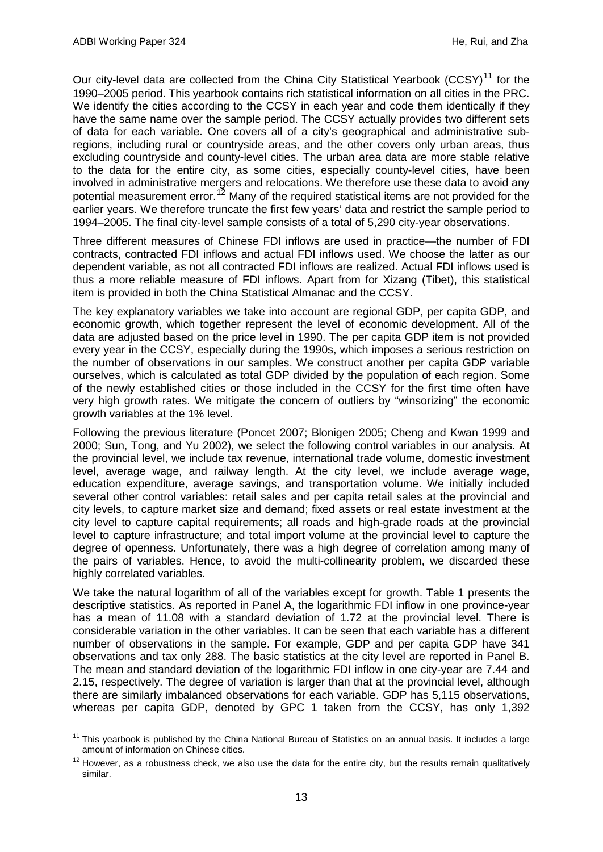Our city-level data are collected from the China City Statistical Yearbook (CCSY)<sup>[11](#page-14-0)</sup> for the 1990–2005 period. This yearbook contains rich statistical information on all cities in the PRC. We identify the cities according to the CCSY in each year and code them identically if they have the same name over the sample period. The CCSY actually provides two different sets of data for each variable. One covers all of a city's geographical and administrative subregions, including rural or countryside areas, and the other covers only urban areas, thus excluding countryside and county-level cities. The urban area data are more stable relative to the data for the entire city, as some cities, especially county-level cities, have been involved in administrative mergers and relocations. We therefore use these data to avoid any potential measurement error.<sup>[12](#page-14-1)</sup> Many of the required statistical items are not provided for the earlier years. We therefore truncate the first few years' data and restrict the sample period to 1994–2005. The final city-level sample consists of a total of 5,290 city-year observations.

Three different measures of Chinese FDI inflows are used in practice—the number of FDI contracts, contracted FDI inflows and actual FDI inflows used. We choose the latter as our dependent variable, as not all contracted FDI inflows are realized. Actual FDI inflows used is thus a more reliable measure of FDI inflows. Apart from for Xizang (Tibet), this statistical item is provided in both the China Statistical Almanac and the CCSY.

The key explanatory variables we take into account are regional GDP, per capita GDP, and economic growth, which together represent the level of economic development. All of the data are adjusted based on the price level in 1990. The per capita GDP item is not provided every year in the CCSY, especially during the 1990s, which imposes a serious restriction on the number of observations in our samples. We construct another per capita GDP variable ourselves, which is calculated as total GDP divided by the population of each region. Some of the newly established cities or those included in the CCSY for the first time often have very high growth rates. We mitigate the concern of outliers by "winsorizing" the economic growth variables at the 1% level.

Following the previous literature (Poncet 2007; Blonigen 2005; Cheng and Kwan 1999 and 2000; Sun, Tong, and Yu 2002), we select the following control variables in our analysis. At the provincial level, we include tax revenue, international trade volume, domestic investment level, average wage, and railway length. At the city level, we include average wage, education expenditure, average savings, and transportation volume. We initially included several other control variables: retail sales and per capita retail sales at the provincial and city levels, to capture market size and demand; fixed assets or real estate investment at the city level to capture capital requirements; all roads and high-grade roads at the provincial level to capture infrastructure; and total import volume at the provincial level to capture the degree of openness. Unfortunately, there was a high degree of correlation among many of the pairs of variables. Hence, to avoid the multi-collinearity problem, we discarded these highly correlated variables.

We take the natural logarithm of all of the variables except for growth. Table 1 presents the descriptive statistics. As reported in Panel A, the logarithmic FDI inflow in one province-year has a mean of 11.08 with a standard deviation of 1.72 at the provincial level. There is considerable variation in the other variables. It can be seen that each variable has a different number of observations in the sample. For example, GDP and per capita GDP have 341 observations and tax only 288. The basic statistics at the city level are reported in Panel B. The mean and standard deviation of the logarithmic FDI inflow in one city-year are 7.44 and 2.15, respectively. The degree of variation is larger than that at the provincial level, although there are similarly imbalanced observations for each variable. GDP has 5,115 observations, whereas per capita GDP, denoted by GPC 1 taken from the CCSY, has only 1,392

<span id="page-14-0"></span><sup>&</sup>lt;sup>11</sup> This vearbook is published by the China National Bureau of Statistics on an annual basis. It includes a large amount of information on Chinese cities.

<span id="page-14-1"></span> $12$  However, as a robustness check, we also use the data for the entire city, but the results remain qualitatively similar.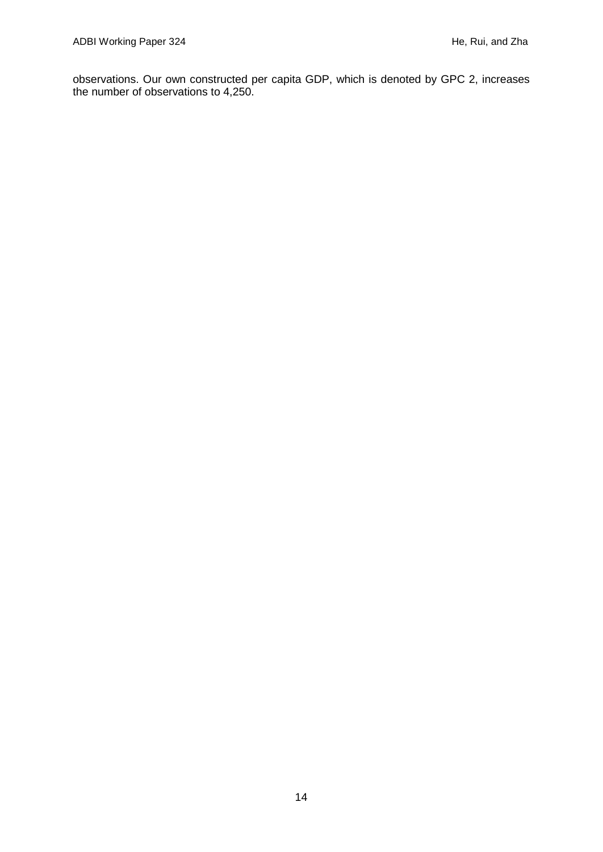observations. Our own constructed per capita GDP, which is denoted by GPC 2, increases the number of observations to 4,250.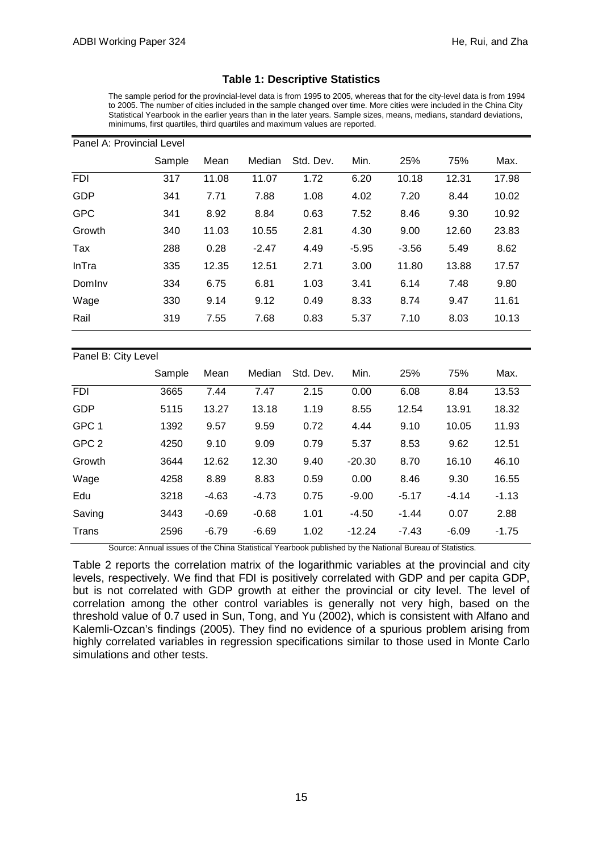#### **Table 1: Descriptive Statistics**

The sample period for the provincial-level data is from 1995 to 2005, whereas that for the city-level data is from 1994 to 2005. The number of cities included in the sample changed over time. More cities were included in the China City Statistical Yearbook in the earlier years than in the later years. Sample sizes, means, medians, standard deviations, minimums, first quartiles, third quartiles and maximum values are reported.

| Panel A: Provincial Level |        |       |         |           |         |         |       |       |  |  |
|---------------------------|--------|-------|---------|-----------|---------|---------|-------|-------|--|--|
|                           | Sample | Mean  | Median  | Std. Dev. | Min.    | 25%     | 75%   | Max.  |  |  |
| <b>FDI</b>                | 317    | 11.08 | 11.07   | 1.72      | 6.20    | 10.18   | 12.31 | 17.98 |  |  |
| GDP                       | 341    | 7.71  | 7.88    | 1.08      | 4.02    | 7.20    | 8.44  | 10.02 |  |  |
| <b>GPC</b>                | 341    | 8.92  | 8.84    | 0.63      | 7.52    | 8.46    | 9.30  | 10.92 |  |  |
| Growth                    | 340    | 11.03 | 10.55   | 2.81      | 4.30    | 9.00    | 12.60 | 23.83 |  |  |
| Tax                       | 288    | 0.28  | $-2.47$ | 4.49      | $-5.95$ | $-3.56$ | 5.49  | 8.62  |  |  |
| <b>InTra</b>              | 335    | 12.35 | 12.51   | 2.71      | 3.00    | 11.80   | 13.88 | 17.57 |  |  |
| Domlny                    | 334    | 6.75  | 6.81    | 1.03      | 3.41    | 6.14    | 7.48  | 9.80  |  |  |
| Wage                      | 330    | 9.14  | 9.12    | 0.49      | 8.33    | 8.74    | 9.47  | 11.61 |  |  |
| Rail                      | 319    | 7.55  | 7.68    | 0.83      | 5.37    | 7.10    | 8.03  | 10.13 |  |  |

| Panel B: City Level |        |         |         |           |          |         |         |         |
|---------------------|--------|---------|---------|-----------|----------|---------|---------|---------|
|                     | Sample | Mean    | Median  | Std. Dev. | Min.     | 25%     | 75%     | Max.    |
| <b>FDI</b>          | 3665   | 7.44    | 7.47    | 2.15      | 0.00     | 6.08    | 8.84    | 13.53   |
| <b>GDP</b>          | 5115   | 13.27   | 13.18   | 1.19      | 8.55     | 12.54   | 13.91   | 18.32   |
| GPC <sub>1</sub>    | 1392   | 9.57    | 9.59    | 0.72      | 4.44     | 9.10    | 10.05   | 11.93   |
| GPC <sub>2</sub>    | 4250   | 9.10    | 9.09    | 0.79      | 5.37     | 8.53    | 9.62    | 12.51   |
| Growth              | 3644   | 12.62   | 12.30   | 9.40      | $-20.30$ | 8.70    | 16.10   | 46.10   |
| Wage                | 4258   | 8.89    | 8.83    | 0.59      | 0.00     | 8.46    | 9.30    | 16.55   |
| Edu                 | 3218   | $-4.63$ | $-4.73$ | 0.75      | $-9.00$  | $-5.17$ | $-4.14$ | $-1.13$ |
| Saving              | 3443   | $-0.69$ | $-0.68$ | 1.01      | $-4.50$  | $-1.44$ | 0.07    | 2.88    |
| Trans               | 2596   | $-6.79$ | $-6.69$ | 1.02      | $-12.24$ | $-7.43$ | $-6.09$ | $-1.75$ |

Source: Annual issues of the China Statistical Yearbook published by the National Bureau of Statistics.

Table 2 reports the correlation matrix of the logarithmic variables at the provincial and city levels, respectively. We find that FDI is positively correlated with GDP and per capita GDP, but is not correlated with GDP growth at either the provincial or city level. The level of correlation among the other control variables is generally not very high, based on the threshold value of 0.7 used in Sun, Tong, and Yu (2002), which is consistent with Alfano and Kalemli-Ozcan's findings (2005). They find no evidence of a spurious problem arising from highly correlated variables in regression specifications similar to those used in Monte Carlo simulations and other tests.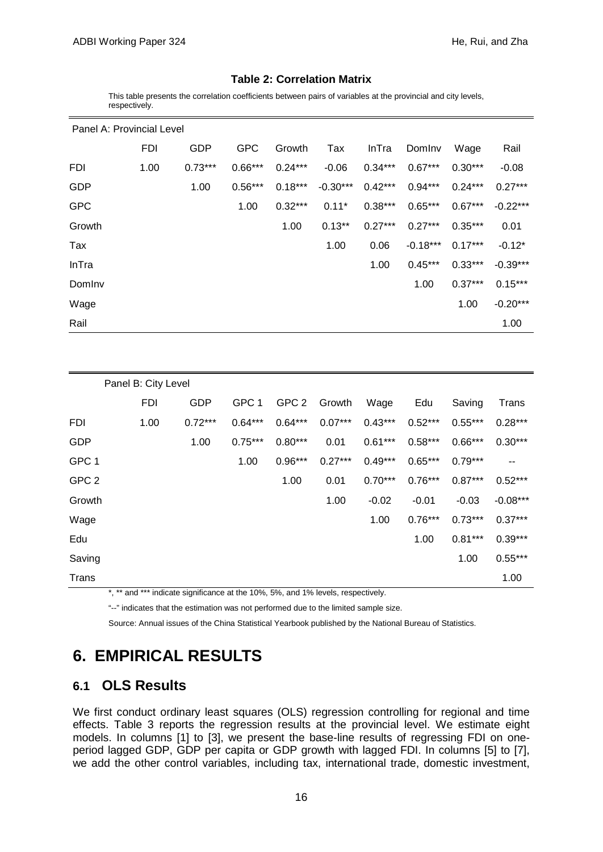#### **Table 2: Correlation Matrix**

This table presents the correlation coefficients between pairs of variables at the provincial and city levels, respectively.

| Panel A: Provincial Level |            |           |            |           |            |              |            |           |            |  |
|---------------------------|------------|-----------|------------|-----------|------------|--------------|------------|-----------|------------|--|
|                           | <b>FDI</b> | GDP       | <b>GPC</b> | Growth    | Tax        | <b>InTra</b> | Domlny     | Wage      | Rail       |  |
| <b>FDI</b>                | 1.00       | $0.73***$ | $0.66***$  | $0.24***$ | $-0.06$    | $0.34***$    | $0.67***$  | $0.30***$ | $-0.08$    |  |
| GDP                       |            | 1.00      | $0.56***$  | $0.18***$ | $-0.30***$ | $0.42***$    | $0.94***$  | $0.24***$ | $0.27***$  |  |
| <b>GPC</b>                |            |           | 1.00       | $0.32***$ | $0.11*$    | $0.38***$    | $0.65***$  | $0.67***$ | $-0.22***$ |  |
| Growth                    |            |           |            | 1.00      | $0.13***$  | $0.27***$    | $0.27***$  | $0.35***$ | 0.01       |  |
| Tax                       |            |           |            |           | 1.00       | 0.06         | $-0.18***$ | $0.17***$ | $-0.12*$   |  |
| InTra                     |            |           |            |           |            | 1.00         | $0.45***$  | $0.33***$ | $-0.39***$ |  |
| Domlny                    |            |           |            |           |            |              | 1.00       | $0.37***$ | $0.15***$  |  |
| Wage                      |            |           |            |           |            |              |            | 1.00      | $-0.20***$ |  |
| Rail                      |            |           |            |           |            |              |            |           | 1.00       |  |

|                  | Panel B: City Level |           |           |                  |           |           |           |           |            |
|------------------|---------------------|-----------|-----------|------------------|-----------|-----------|-----------|-----------|------------|
|                  | <b>FDI</b>          | GDP       | GPC 1     | GPC <sub>2</sub> | Growth    | Wage      | Edu       | Saving    | Trans      |
| <b>FDI</b>       | 1.00                | $0.72***$ | $0.64***$ | $0.64***$        | $0.07***$ | $0.43***$ | $0.52***$ | $0.55***$ | $0.28***$  |
| <b>GDP</b>       |                     | 1.00      | $0.75***$ | $0.80***$        | 0.01      | $0.61***$ | $0.58***$ | $0.66***$ | $0.30***$  |
| GPC <sub>1</sub> |                     |           | 1.00      | $0.96***$        | $0.27***$ | $0.49***$ | $0.65***$ | $0.79***$ | --         |
| GPC <sub>2</sub> |                     |           |           | 1.00             | 0.01      | $0.70***$ | $0.76***$ | $0.87***$ | $0.52***$  |
| Growth           |                     |           |           |                  | 1.00      | $-0.02$   | $-0.01$   | $-0.03$   | $-0.08***$ |
| Wage             |                     |           |           |                  |           | 1.00      | $0.76***$ | $0.73***$ | $0.37***$  |
| Edu              |                     |           |           |                  |           |           | 1.00      | $0.81***$ | $0.39***$  |
| Saving           |                     |           |           |                  |           |           |           | 1.00      | $0.55***$  |
| Trans            |                     |           |           |                  |           |           |           |           | 1.00       |

\*, \*\* and \*\*\* indicate significance at the 10%, 5%, and 1% levels, respectively.

"--" indicates that the estimation was not performed due to the limited sample size.

Source: Annual issues of the China Statistical Yearbook published by the National Bureau of Statistics.

## **6. EMPIRICAL RESULTS**

### **6.1 OLS Results**

We first conduct ordinary least squares (OLS) regression controlling for regional and time effects. Table 3 reports the regression results at the provincial level. We estimate eight models. In columns [1] to [3], we present the base-line results of regressing FDI on oneperiod lagged GDP, GDP per capita or GDP growth with lagged FDI. In columns [5] to [7], we add the other control variables, including tax, international trade, domestic investment,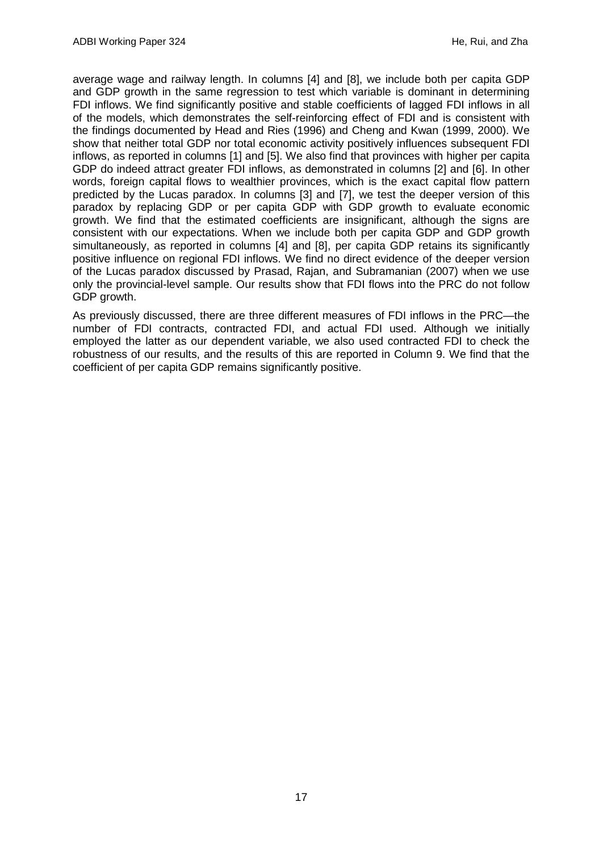average wage and railway length. In columns [4] and [8], we include both per capita GDP and GDP growth in the same regression to test which variable is dominant in determining FDI inflows. We find significantly positive and stable coefficients of lagged FDI inflows in all of the models, which demonstrates the self-reinforcing effect of FDI and is consistent with the findings documented by Head and Ries (1996) and Cheng and Kwan (1999, 2000). We show that neither total GDP nor total economic activity positively influences subsequent FDI inflows, as reported in columns [1] and [5]. We also find that provinces with higher per capita GDP do indeed attract greater FDI inflows, as demonstrated in columns [2] and [6]. In other words, foreign capital flows to wealthier provinces, which is the exact capital flow pattern predicted by the Lucas paradox. In columns [3] and [7], we test the deeper version of this paradox by replacing GDP or per capita GDP with GDP growth to evaluate economic growth. We find that the estimated coefficients are insignificant, although the signs are consistent with our expectations. When we include both per capita GDP and GDP growth simultaneously, as reported in columns [4] and [8], per capita GDP retains its significantly positive influence on regional FDI inflows. We find no direct evidence of the deeper version of the Lucas paradox discussed by Prasad, Rajan, and Subramanian (2007) when we use only the provincial-level sample. Our results show that FDI flows into the PRC do not follow GDP growth.

As previously discussed, there are three different measures of FDI inflows in the PRC—the number of FDI contracts, contracted FDI, and actual FDI used. Although we initially employed the latter as our dependent variable, we also used contracted FDI to check the robustness of our results, and the results of this are reported in Column 9. We find that the coefficient of per capita GDP remains significantly positive.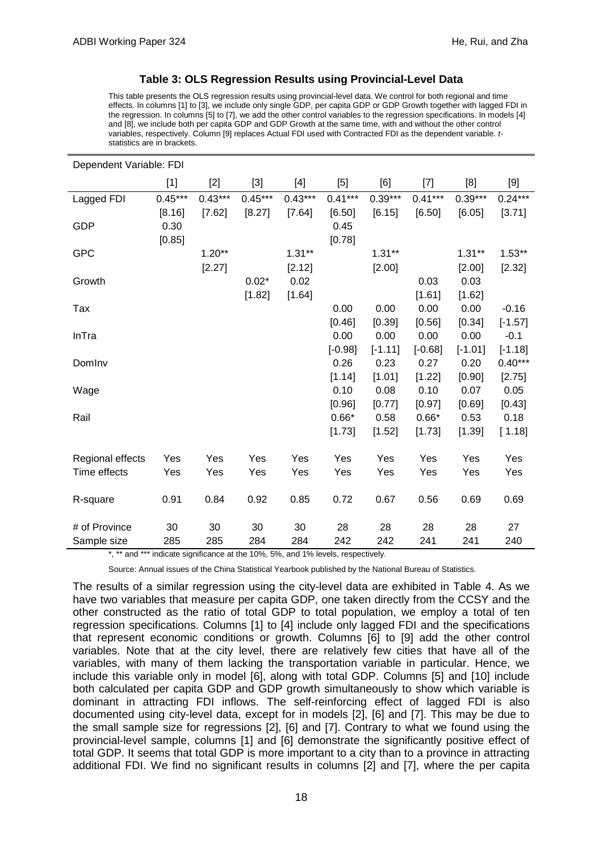#### **Table 3: OLS Regression Results using Provincial-Level Data**

This table presents the OLS regression results using provincial-level data. We control for both regional and time effects. In columns [1] to [3], we include only single GDP, per capita GDP or GDP Growth together with lagged FDI in the regression. In columns [5] to [7], we add the other control variables to the regression specifications. In models [4] and [8], we include both per capita GDP and GDP Growth at the same time, with and without the other control variables, respectively. Column [9] replaces Actual FDI used with Contracted FDI as the dependent variable. *t*statistics are in brackets.

| Dependent Variable: FDI |           |           |           |           |           |           |           |           |           |  |
|-------------------------|-----------|-----------|-----------|-----------|-----------|-----------|-----------|-----------|-----------|--|
|                         | $[1]$     | $[2]$     | $[3]$     | $[4]$     | [5]       | [6]       | $[7]$     | [8]       | $[9]$     |  |
| Lagged FDI              | $0.45***$ | $0.43***$ | $0.45***$ | $0.43***$ | $0.41***$ | $0.39***$ | $0.41***$ | $0.39***$ | $0.24***$ |  |
|                         | [8.16]    | [7.62]    | [8.27]    | [7.64]    | [6.50]    | [6.15]    | [6.50]    | [6.05]    | [3.71]    |  |
| <b>GDP</b>              | 0.30      |           |           |           | 0.45      |           |           |           |           |  |
|                         | [0.85]    |           |           |           | [0.78]    |           |           |           |           |  |
| <b>GPC</b>              |           | $1.20**$  |           | $1.31***$ |           | $1.31**$  |           | $1.31**$  | $1.53**$  |  |
|                         |           | [2.27]    |           | [2.12]    |           | [2.00]    |           | [2.00]    | [2.32]    |  |
| Growth                  |           |           | $0.02*$   | 0.02      |           |           | 0.03      | 0.03      |           |  |
|                         |           |           | [1.82]    | [1.64]    |           |           | [1.61]    | [1.62]    |           |  |
| Tax                     |           |           |           |           | 0.00      | 0.00      | 0.00      | 0.00      | $-0.16$   |  |
|                         |           |           |           |           | [0.46]    | [0.39]    | [0.56]    | [0.34]    | $[-1.57]$ |  |
| InTra                   |           |           |           |           | 0.00      | 0.00      | 0.00      | 0.00      | $-0.1$    |  |
|                         |           |           |           |           | $[-0.98]$ | $[-1.11]$ | $[-0.68]$ | $[-1.01]$ | $[-1.18]$ |  |
| Domlnv                  |           |           |           |           | 0.26      | 0.23      | 0.27      | 0.20      | $0.40***$ |  |
|                         |           |           |           |           | [1.14]    | [1.01]    | [1.22]    | [0.90]    | [2.75]    |  |
| Wage                    |           |           |           |           | 0.10      | 0.08      | 0.10      | 0.07      | 0.05      |  |
|                         |           |           |           |           | [0.96]    | [0.77]    | [0.97]    | [0.69]    | [0.43]    |  |
| Rail                    |           |           |           |           | $0.66*$   | 0.58      | $0.66*$   | 0.53      | 0.18      |  |
|                         |           |           |           |           | [1.73]    | [1.52]    | [1.73]    | [1.39]    | [1.18]    |  |
| Regional effects        | Yes       | Yes       | Yes       | Yes       | Yes       | Yes       | Yes       | Yes       | Yes       |  |
| Time effects            | Yes       | Yes       | Yes       | Yes       | Yes       | Yes       | Yes       | Yes       | Yes       |  |
|                         |           |           |           |           |           |           |           |           |           |  |
| R-square                | 0.91      | 0.84      | 0.92      | 0.85      | 0.72      | 0.67      | 0.56      | 0.69      | 0.69      |  |
| # of Province           | 30        | 30        | 30        | 30        | 28        | 28        | 28        | 28        | 27        |  |
| Sample size             | 285       | 285       | 284       | 284       | 242       | 242       | 241       | 241       | 240       |  |

\*, \*\* and \*\*\* indicate significance at the 10%, 5%, and 1% levels, respectively.

Source: Annual issues of the China Statistical Yearbook published by the National Bureau of Statistics.

The results of a similar regression using the city-level data are exhibited in Table 4. As we have two variables that measure per capita GDP, one taken directly from the CCSY and the other constructed as the ratio of total GDP to total population, we employ a total of ten regression specifications. Columns [1] to [4] include only lagged FDI and the specifications that represent economic conditions or growth. Columns [6] to [9] add the other control variables. Note that at the city level, there are relatively few cities that have all of the variables, with many of them lacking the transportation variable in particular. Hence, we include this variable only in model [6], along with total GDP. Columns [5] and [10] include both calculated per capita GDP and GDP growth simultaneously to show which variable is dominant in attracting FDI inflows. The self-reinforcing effect of lagged FDI is also documented using city-level data, except for in models [2], [6] and [7]. This may be due to the small sample size for regressions [2], [6] and [7]. Contrary to what we found using the provincial-level sample, columns [1] and [6] demonstrate the significantly positive effect of total GDP. It seems that total GDP is more important to a city than to a province in attracting additional FDI. We find no significant results in columns [2] and [7], where the per capita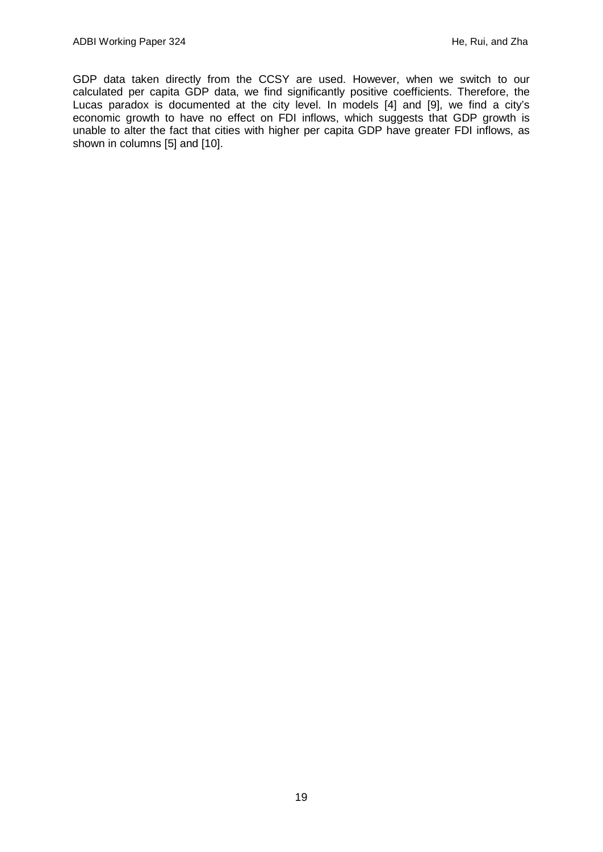GDP data taken directly from the CCSY are used. However, when we switch to our calculated per capita GDP data, we find significantly positive coefficients. Therefore, the Lucas paradox is documented at the city level. In models [4] and [9], we find a city's economic growth to have no effect on FDI inflows, which suggests that GDP growth is unable to alter the fact that cities with higher per capita GDP have greater FDI inflows, as shown in columns [5] and [10].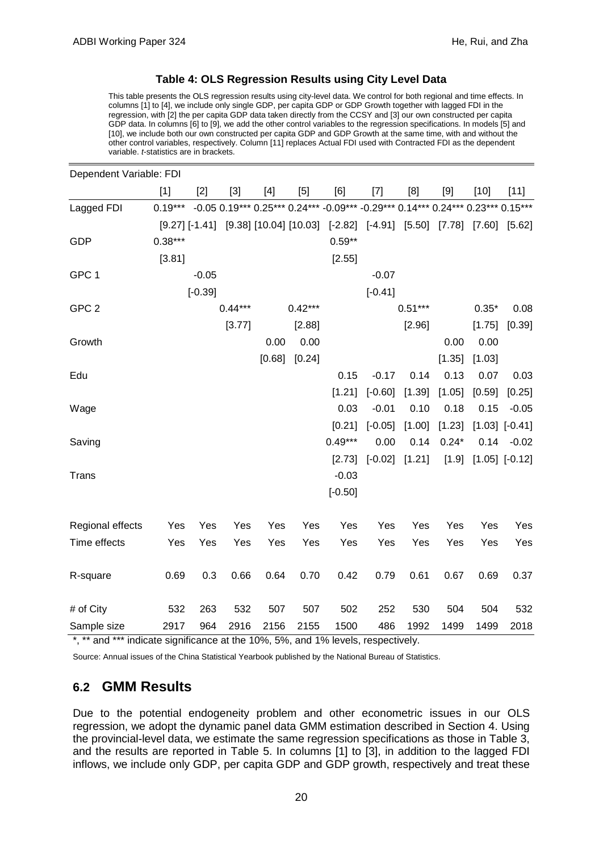#### **Table 4: OLS Regression Results using City Level Data**

This table presents the OLS regression results using city-level data. We control for both regional and time effects. In columns [1] to [4], we include only single GDP, per capita GDP or GDP Growth together with lagged FDI in the regression, with [2] the per capita GDP data taken directly from the CCSY and [3] our own constructed per capita GDP data. In columns [6] to [9], we add the other control variables to the regression specifications. In models [5] and [10], we include both our own constructed per capita GDP and GDP Growth at the same time, with and without the other control variables, respectively. Column [11] replaces Actual FDI used with Contracted FDI as the dependent variable. *t*-statistics are in brackets.

| Dependent Variable: FDI                    |             |           |           |             |                                       |                                                                                      |           |           |         |         |                    |
|--------------------------------------------|-------------|-----------|-----------|-------------|---------------------------------------|--------------------------------------------------------------------------------------|-----------|-----------|---------|---------|--------------------|
|                                            | $[1]$       | $[2]$     | $[3]$     | $[4]$       | $[5]$                                 | [6]                                                                                  | $[7]$     | [8]       | $[9]$   | $[10]$  | $[11]$             |
| Lagged FDI                                 | $0.19***$   |           |           |             |                                       | -0.05 0.19*** 0.25*** 0.24*** -0.09*** -0.29*** 0.14*** 0.24*** 0.23*** 0.15***      |           |           |         |         |                    |
|                                            |             |           |           |             |                                       | $[9.27]$ [-1.41] $[9.38]$ [10.04][10.03] [-2.82] [-4.91] [5.50] [7.78] [7.60] [5.62] |           |           |         |         |                    |
| <b>GDP</b>                                 | $0.38***$   |           |           |             |                                       | $0.59**$                                                                             |           |           |         |         |                    |
|                                            | [3.81]      |           |           |             |                                       | [2.55]                                                                               |           |           |         |         |                    |
| GPC <sub>1</sub>                           |             | $-0.05$   |           |             |                                       |                                                                                      | $-0.07$   |           |         |         |                    |
|                                            |             | $[-0.39]$ |           |             |                                       |                                                                                      | $[-0.41]$ |           |         |         |                    |
| GPC <sub>2</sub>                           |             |           | $0.44***$ |             | $0.42***$                             |                                                                                      |           | $0.51***$ |         | $0.35*$ | 0.08               |
|                                            |             |           | [3.77]    |             | [2.88]                                |                                                                                      |           | [2.96]    |         | [1.75]  | [0.39]             |
| Growth                                     |             |           |           | 0.00        | 0.00                                  |                                                                                      |           |           | 0.00    | 0.00    |                    |
|                                            |             |           |           | [0.68]      | [0.24]                                |                                                                                      |           |           | [1.35]  | [1.03]  |                    |
| Edu                                        |             |           |           |             |                                       | 0.15                                                                                 | $-0.17$   | 0.14      | 0.13    | 0.07    | 0.03               |
|                                            |             |           |           |             |                                       | [1.21]                                                                               | $[-0.60]$ | [1.39]    | [1.05]  | [0.59]  | [0.25]             |
| Wage                                       |             |           |           |             |                                       | 0.03                                                                                 | $-0.01$   | 0.10      | 0.18    | 0.15    | $-0.05$            |
|                                            |             |           |           |             |                                       | [0.21]                                                                               | $[-0.05]$ | [1.00]    | [1.23]  |         | $[1.03]$ $[-0.41]$ |
| Saving                                     |             |           |           |             |                                       | $0.49***$                                                                            | 0.00      | 0.14      | $0.24*$ | 0.14    | $-0.02$            |
|                                            |             |           |           |             |                                       | [2.73]                                                                               | $[-0.02]$ | [1.21]    | [1.9]   |         | $[1.05]$ $[-0.12]$ |
| Trans                                      |             |           |           |             |                                       | $-0.03$                                                                              |           |           |         |         |                    |
|                                            |             |           |           |             |                                       | $[-0.50]$                                                                            |           |           |         |         |                    |
|                                            |             |           |           |             |                                       |                                                                                      |           |           |         |         |                    |
| Regional effects                           | Yes         | Yes       | Yes       | Yes         | Yes                                   | Yes                                                                                  | Yes       | Yes       | Yes     | Yes     | Yes                |
| Time effects                               | Yes         | Yes       | Yes       | Yes         | Yes                                   | Yes                                                                                  | Yes       | Yes       | Yes     | Yes     | Yes                |
|                                            |             |           |           |             |                                       |                                                                                      |           |           |         |         |                    |
| R-square                                   | 0.69        | 0.3       | 0.66      | 0.64        | 0.70                                  | 0.42                                                                                 | 0.79      | 0.61      | 0.67    | 0.69    | 0.37               |
|                                            |             |           |           |             |                                       |                                                                                      |           |           |         |         |                    |
| # of City                                  | 532         | 263       | 532       | 507         | 507                                   | 502                                                                                  | 252       | 530       | 504     | 504     | 532                |
| Sample size<br>$+ + + -$<br>$-1 + + + +$ : | 2917<br>:2: | 964       | 2916      | 2156<br>ro. | 2155<br>$\overline{A}$ $\overline{A}$ | 1500                                                                                 | 486       | 1992      | 1499    | 1499    | 2018               |

\*, \*\* and \*\*\* indicate significance at the 10%, 5%, and 1% levels, respectively.

Source: Annual issues of the China Statistical Yearbook published by the National Bureau of Statistics.

### **6.2 GMM Results**

Due to the potential endogeneity problem and other econometric issues in our OLS regression, we adopt the dynamic panel data GMM estimation described in Section 4. Using the provincial-level data, we estimate the same regression specifications as those in Table 3, and the results are reported in Table 5. In columns [1] to [3], in addition to the lagged FDI inflows, we include only GDP, per capita GDP and GDP growth, respectively and treat these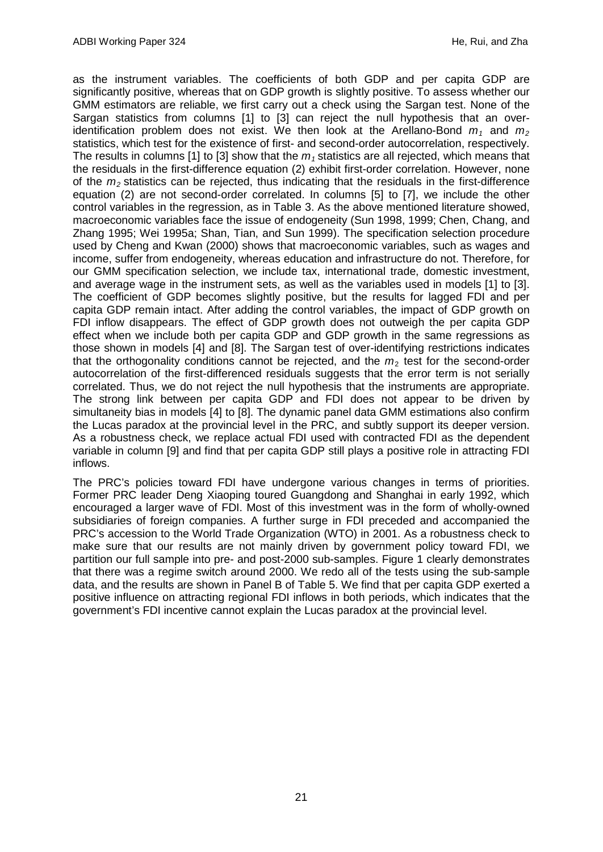as the instrument variables. The coefficients of both GDP and per capita GDP are significantly positive, whereas that on GDP growth is slightly positive. To assess whether our GMM estimators are reliable, we first carry out a check using the Sargan test. None of the Sargan statistics from columns [1] to [3] can reject the null hypothesis that an overidentification problem does not exist. We then look at the Arellano-Bond  $m_1$  and  $m_2$ statistics, which test for the existence of first- and second-order autocorrelation, respectively. The results in columns [1] to [3] show that the  $m_1$  statistics are all rejected, which means that the residuals in the first-difference equation (2) exhibit first-order correlation. However, none of the *m2* statistics can be rejected, thus indicating that the residuals in the first-difference equation (2) are not second-order correlated. In columns [5] to [7], we include the other control variables in the regression, as in Table 3. As the above mentioned literature showed, macroeconomic variables face the issue of endogeneity (Sun 1998, 1999; Chen, Chang, and Zhang 1995; Wei 1995a; Shan, Tian, and Sun 1999). The specification selection procedure used by Cheng and Kwan (2000) shows that macroeconomic variables, such as wages and income, suffer from endogeneity, whereas education and infrastructure do not. Therefore, for our GMM specification selection, we include tax, international trade, domestic investment, and average wage in the instrument sets, as well as the variables used in models [1] to [3]. The coefficient of GDP becomes slightly positive, but the results for lagged FDI and per capita GDP remain intact. After adding the control variables, the impact of GDP growth on FDI inflow disappears. The effect of GDP growth does not outweigh the per capita GDP effect when we include both per capita GDP and GDP growth in the same regressions as those shown in models [4] and [8]. The Sargan test of over-identifying restrictions indicates that the orthogonality conditions cannot be rejected, and the  $m_2$  test for the second-order autocorrelation of the first-differenced residuals suggests that the error term is not serially correlated. Thus, we do not reject the null hypothesis that the instruments are appropriate. The strong link between per capita GDP and FDI does not appear to be driven by simultaneity bias in models [4] to [8]. The dynamic panel data GMM estimations also confirm the Lucas paradox at the provincial level in the PRC, and subtly support its deeper version. As a robustness check, we replace actual FDI used with contracted FDI as the dependent variable in column [9] and find that per capita GDP still plays a positive role in attracting FDI inflows.

The PRC's policies toward FDI have undergone various changes in terms of priorities. Former PRC leader Deng Xiaoping toured Guangdong and Shanghai in early 1992, which encouraged a larger wave of FDI. Most of this investment was in the form of wholly-owned subsidiaries of foreign companies. A further surge in FDI preceded and accompanied the PRC's accession to the World Trade Organization (WTO) in 2001. As a robustness check to make sure that our results are not mainly driven by government policy toward FDI, we partition our full sample into pre- and post-2000 sub-samples. Figure 1 clearly demonstrates that there was a regime switch around 2000. We redo all of the tests using the sub-sample data, and the results are shown in Panel B of Table 5. We find that per capita GDP exerted a positive influence on attracting regional FDI inflows in both periods, which indicates that the government's FDI incentive cannot explain the Lucas paradox at the provincial level.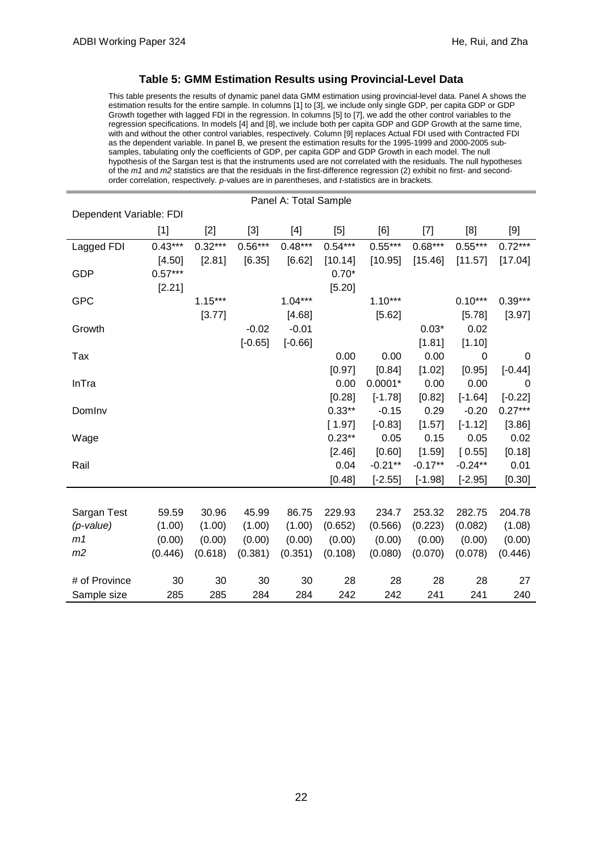#### **Table 5: GMM Estimation Results using Provincial-Level Data**

This table presents the results of dynamic panel data GMM estimation using provincial-level data. Panel A shows the estimation results for the entire sample. In columns [1] to [3], we include only single GDP, per capita GDP or GDP Growth together with lagged FDI in the regression. In columns [5] to [7], we add the other control variables to the regression specifications. In models [4] and [8], we include both per capita GDP and GDP Growth at the same time, with and without the other control variables, respectively. Column [9] replaces Actual FDI used with Contracted FDI as the dependent variable. In panel B, we present the estimation results for the 1995-1999 and 2000-2005 subsamples, tabulating only the coefficients of GDP, per capita GDP and GDP Growth in each model. The null hypothesis of the Sargan test is that the instruments used are not correlated with the residuals. The null hypotheses of the *m1* and *m2* statistics are that the residuals in the first-difference regression (2) exhibit no first- and secondorder correlation, respectively. *p*-values are in parentheses, and *t*-statistics are in brackets.

| Panel A: Total Sample   |           |           |           |           |           |           |           |             |           |
|-------------------------|-----------|-----------|-----------|-----------|-----------|-----------|-----------|-------------|-----------|
| Dependent Variable: FDI |           |           |           |           |           |           |           |             |           |
|                         | $[1]$     | $[2]$     | $[3]$     | [4]       | $[5]$     | [6]       | $[7]$     | [8]         | $[9]$     |
| Lagged FDI              | $0.43***$ | $0.32***$ | $0.56***$ | $0.48***$ | $0.54***$ | $0.55***$ | $0.68***$ | $0.55***$   | $0.72***$ |
|                         | [4.50]    | [2.81]    | [6.35]    | [6.62]    | [10.14]   | [10.95]   | [15.46]   | [11.57]     | [17.04]   |
| <b>GDP</b>              | $0.57***$ |           |           |           | $0.70*$   |           |           |             |           |
|                         | [2.21]    |           |           |           | [5.20]    |           |           |             |           |
| <b>GPC</b>              |           | $1.15***$ |           | $1.04***$ |           | $1.10***$ |           | $0.10***$   | $0.39***$ |
|                         |           | [3.77]    |           | [4.68]    |           | [5.62]    |           | [5.78]      | [3.97]    |
| Growth                  |           |           | $-0.02$   | $-0.01$   |           |           | $0.03*$   | 0.02        |           |
|                         |           |           | $[-0.65]$ | $[-0.66]$ |           |           | [1.81]    | [1.10]      |           |
| Tax                     |           |           |           |           | 0.00      | 0.00      | 0.00      | $\mathbf 0$ | 0         |
|                         |           |           |           |           | [0.97]    | [0.84]    | [1.02]    | [0.95]      | $[-0.44]$ |
| InTra                   |           |           |           |           | 0.00      | $0.0001*$ | 0.00      | 0.00        | 0         |
|                         |           |           |           |           | [0.28]    | $[-1.78]$ | [0.82]    | $[-1.64]$   | $[-0.22]$ |
| Domlny                  |           |           |           |           | $0.33**$  | $-0.15$   | 0.29      | $-0.20$     | $0.27***$ |
|                         |           |           |           |           | [1.97]    | $[-0.83]$ | [1.57]    | $[-1.12]$   | [3.86]    |
| Wage                    |           |           |           |           | $0.23**$  | 0.05      | 0.15      | 0.05        | 0.02      |
|                         |           |           |           |           | [2.46]    | [0.60]    | [1.59]    | [0.55]      | [0.18]    |
| Rail                    |           |           |           |           | 0.04      | $-0.21**$ | $-0.17**$ | $-0.24**$   | 0.01      |
|                         |           |           |           |           | [0.48]    | $[-2.55]$ | $[-1.98]$ | $[-2.95]$   | [0.30]    |
|                         |           |           |           |           |           |           |           |             |           |
| Sargan Test             | 59.59     | 30.96     | 45.99     | 86.75     | 229.93    | 234.7     | 253.32    | 282.75      | 204.78    |
| $(p$ -value)            | (1.00)    | (1.00)    | (1.00)    | (1.00)    | (0.652)   | (0.566)   | (0.223)   | (0.082)     | (1.08)    |
| m1                      | (0.00)    | (0.00)    | (0.00)    | (0.00)    | (0.00)    | (0.00)    | (0.00)    | (0.00)      | (0.00)    |
| m2                      | (0.446)   | (0.618)   | (0.381)   | (0.351)   | (0.108)   | (0.080)   | (0.070)   | (0.078)     | (0.446)   |
|                         |           |           |           |           |           |           |           |             |           |
| # of Province           | 30        | 30        | 30        | 30        | 28        | 28        | 28        | 28          | 27        |
| Sample size             | 285       | 285       | 284       | 284       | 242       | 242       | 241       | 241         | 240       |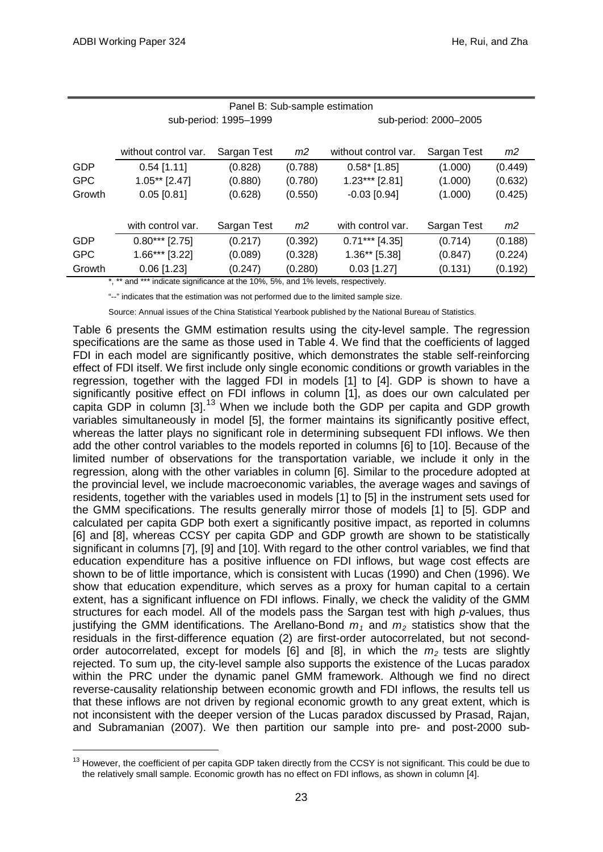| Panel B: Sub-sample estimation |                                                      |                       |                |                              |                       |                |  |  |  |  |  |
|--------------------------------|------------------------------------------------------|-----------------------|----------------|------------------------------|-----------------------|----------------|--|--|--|--|--|
|                                |                                                      | sub-period: 1995-1999 |                |                              | sub-period: 2000-2005 |                |  |  |  |  |  |
|                                |                                                      |                       |                |                              |                       |                |  |  |  |  |  |
|                                | without control var.                                 | Sargan Test           | m <sub>2</sub> | without control var.         | Sargan Test           | m <sub>2</sub> |  |  |  |  |  |
| GDP                            | $0.54$ [1.11]                                        | (0.828)               | (0.788)        | $0.58$ * [1.85]              | (1.000)               | (0.449)        |  |  |  |  |  |
| <b>GPC</b>                     | $1.05**$ [2.47]                                      | (0.880)               | (0.780)        | $1.23***$ [2.81]             | (1.000)               | (0.632)        |  |  |  |  |  |
| Growth                         | $0.05$ [0.81]                                        | (0.628)               | (0.550)        | $-0.03$ [0.94]               | (1.000)               | (0.425)        |  |  |  |  |  |
|                                |                                                      |                       |                |                              |                       |                |  |  |  |  |  |
|                                | with control var.                                    | Sargan Test           | m <sub>2</sub> | with control var.            | Sargan Test           | m <sub>2</sub> |  |  |  |  |  |
| <b>GDP</b>                     | $0.80***$ [2.75]                                     | (0.217)               | (0.392)        | $0.71***$ [4.35]             | (0.714)               | (0.188)        |  |  |  |  |  |
| <b>GPC</b>                     | $1.66***$ [3.22]                                     | (0.089)               | (0.328)        | $1.36**$ [5.38]              | (0.847)               | (0.224)        |  |  |  |  |  |
| Growth                         | $0.06$ [1.23]                                        | (0.247)               | (0.280)        | $0.03$ [1.27]                | (0.131)               | (0.192)        |  |  |  |  |  |
|                                | $*$ $**$ and $***$ indicate significance at the 100/ | <b>EO/</b>            |                | and 10/ lough representative |                       |                |  |  |  |  |  |

and \*\*\* indicate significance at the 10%, 5%, and 1% levels, respectively.

"--" indicates that the estimation was not performed due to the limited sample size.

Source: Annual issues of the China Statistical Yearbook published by the National Bureau of Statistics.

Table 6 presents the GMM estimation results using the city-level sample. The regression specifications are the same as those used in Table 4. We find that the coefficients of lagged FDI in each model are significantly positive, which demonstrates the stable self-reinforcing effect of FDI itself. We first include only single economic conditions or growth variables in the regression, together with the lagged FDI in models [1] to [4]. GDP is shown to have a significantly positive effect on FDI inflows in column [1], as does our own calculated per capita GDP in column [3].<sup>[13](#page-24-0)</sup> When we include both the GDP per capita and GDP growth variables simultaneously in model [5], the former maintains its significantly positive effect. whereas the latter plays no significant role in determining subsequent FDI inflows. We then add the other control variables to the models reported in columns [6] to [10]. Because of the limited number of observations for the transportation variable, we include it only in the regression, along with the other variables in column [6]. Similar to the procedure adopted at the provincial level, we include macroeconomic variables, the average wages and savings of residents, together with the variables used in models [1] to [5] in the instrument sets used for the GMM specifications. The results generally mirror those of models [1] to [5]. GDP and calculated per capita GDP both exert a significantly positive impact, as reported in columns [6] and [8], whereas CCSY per capita GDP and GDP growth are shown to be statistically significant in columns [7], [9] and [10]. With regard to the other control variables, we find that education expenditure has a positive influence on FDI inflows, but wage cost effects are shown to be of little importance, which is consistent with Lucas (1990) and Chen (1996). We show that education expenditure, which serves as a proxy for human capital to a certain extent, has a significant influence on FDI inflows. Finally, we check the validity of the GMM structures for each model. All of the models pass the Sargan test with high *p-*values, thus justifying the GMM identifications. The Arellano-Bond  $m_1$  and  $m_2$  statistics show that the residuals in the first-difference equation (2) are first-order autocorrelated, but not secondorder autocorrelated, except for models [6] and [8], in which the  $m_2$  tests are slightly rejected. To sum up, the city-level sample also supports the existence of the Lucas paradox within the PRC under the dynamic panel GMM framework. Although we find no direct reverse-causality relationship between economic growth and FDI inflows, the results tell us that these inflows are not driven by regional economic growth to any great extent, which is not inconsistent with the deeper version of the Lucas paradox discussed by Prasad, Rajan, and Subramanian (2007). We then partition our sample into pre- and post-2000 sub-

<span id="page-24-0"></span><sup>&</sup>lt;sup>13</sup> However, the coefficient of per capita GDP taken directly from the CCSY is not significant. This could be due to the relatively small sample. Economic growth has no effect on FDI inflows, as shown in column [4].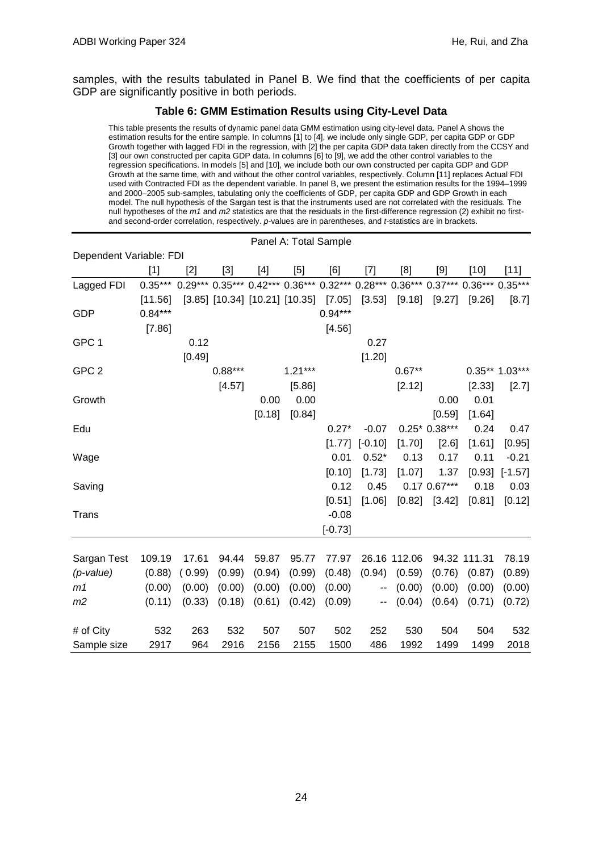samples, with the results tabulated in Panel B. We find that the coefficients of per capita GDP are significantly positive in both periods.

#### **Table 6: GMM Estimation Results using City-Level Data**

This table presents the results of dynamic panel data GMM estimation using city-level data. Panel A shows the estimation results for the entire sample. In columns [1] to [4], we include only single GDP, per capita GDP or GDP Growth together with lagged FDI in the regression, with [2] the per capita GDP data taken directly from the CCSY and [3] our own constructed per capita GDP data. In columns [6] to [9], we add the other control variables to the regression specifications. In models [5] and [10], we include both our own constructed per capita GDP and GDP Growth at the same time, with and without the other control variables, respectively. Column [11] replaces Actual FDI used with Contracted FDI as the dependent variable. In panel B, we present the estimation results for the 1994–1999 and 2000–2005 sub-samples, tabulating only the coefficients of GDP, per capita GDP and GDP Growth in each model. The null hypothesis of the Sargan test is that the instruments used are not correlated with the residuals. The null hypotheses of the *m1* and *m2* statistics are that the residuals in the first-difference regression (2) exhibit no firstand second-order correlation, respectively. *p*-values are in parentheses, and *t*-statistics are in brackets.

| Panel A: Total Sample   |           |        |                                         |        |           |                                                                                 |                          |              |                     |              |                  |
|-------------------------|-----------|--------|-----------------------------------------|--------|-----------|---------------------------------------------------------------------------------|--------------------------|--------------|---------------------|--------------|------------------|
| Dependent Variable: FDI |           |        |                                         |        |           |                                                                                 |                          |              |                     |              |                  |
|                         | $[1]$     | $[2]$  | $[3]$                                   | [4]    | $[5]$     | [6]                                                                             | $[7]$                    | [8]          | [9]                 | $[10]$       | $[11]$           |
| Lagged FDI              | $0.35***$ |        |                                         |        |           | 0.29*** 0.35*** 0.42*** 0.36*** 0.32*** 0.28*** 0.36*** 0.37*** 0.36*** 0.35*** |                          |              |                     |              |                  |
|                         | [11.56]   |        | $[3.85]$ [10.34] [10.21] [10.35] [7.05] |        |           |                                                                                 | [3.53]                   | [9.18]       | [9.27]              | [9.26]       | [8.7]            |
| <b>GDP</b>              | $0.84***$ |        |                                         |        |           | $0.94***$                                                                       |                          |              |                     |              |                  |
|                         | [7.86]    |        |                                         |        |           | [4.56]                                                                          |                          |              |                     |              |                  |
| GPC <sub>1</sub>        |           | 0.12   |                                         |        |           |                                                                                 | 0.27                     |              |                     |              |                  |
|                         |           | [0.49] |                                         |        |           |                                                                                 | [1.20]                   |              |                     |              |                  |
| GPC <sub>2</sub>        |           |        | $0.88***$                               |        | $1.21***$ |                                                                                 |                          | $0.67**$     |                     |              | $0.35***1.03***$ |
|                         |           |        | [4.57]                                  |        | [5.86]    |                                                                                 |                          | [2.12]       |                     | [2.33]       | [2.7]            |
| Growth                  |           |        |                                         | 0.00   | 0.00      |                                                                                 |                          |              | 0.00                | 0.01         |                  |
|                         |           |        |                                         | [0.18] | [0.84]    |                                                                                 |                          |              | [0.59]              | [1.64]       |                  |
| Edu                     |           |        |                                         |        |           | $0.27*$                                                                         | $-0.07$                  |              | $0.25$ * $0.38$ *** | 0.24         | 0.47             |
|                         |           |        |                                         |        |           | [1.77]                                                                          | $[-0.10]$                | [1.70]       | [2.6]               | [1.61]       | [0.95]           |
| Wage                    |           |        |                                         |        |           | 0.01                                                                            | $0.52*$                  | 0.13         | 0.17                | 0.11         | $-0.21$          |
|                         |           |        |                                         |        |           | [0.10]                                                                          | [1.73]                   | [1.07]       | 1.37                | [0.93]       | $[-1.57]$        |
| Saving                  |           |        |                                         |        |           | 0.12                                                                            | 0.45                     |              | $0.17 0.67***$      | 0.18         | 0.03             |
|                         |           |        |                                         |        |           | [0.51]                                                                          | [1.06]                   | [0.82]       | [3.42]              | [0.81]       | [0.12]           |
| <b>Trans</b>            |           |        |                                         |        |           | $-0.08$                                                                         |                          |              |                     |              |                  |
|                         |           |        |                                         |        |           | $[-0.73]$                                                                       |                          |              |                     |              |                  |
|                         |           |        |                                         |        |           |                                                                                 |                          |              |                     |              |                  |
| Sargan Test             | 109.19    | 17.61  | 94.44                                   | 59.87  | 95.77     | 77.97                                                                           |                          | 26.16 112.06 |                     | 94.32 111.31 | 78.19            |
| $(p$ -value)            | (0.88)    | (0.99) | (0.99)                                  | (0.94) | (0.99)    | (0.48)                                                                          | (0.94)                   | (0.59)       | (0.76)              | (0.87)       | (0.89)           |
| m1                      | (0.00)    | (0.00) | (0.00)                                  | (0.00) | (0.00)    | (0.00)                                                                          | --                       | (0.00)       | (0.00)              | (0.00)       | (0.00)           |
| m <sub>2</sub>          | (0.11)    | (0.33) | (0.18)                                  | (0.61) | (0.42)    | (0.09)                                                                          | $\overline{\phantom{a}}$ | (0.04)       | (0.64)              | (0.71)       | (0.72)           |
|                         |           |        |                                         |        |           |                                                                                 |                          |              |                     |              |                  |
| # of City               | 532       | 263    | 532                                     | 507    | 507       | 502                                                                             | 252                      | 530          | 504                 | 504          | 532              |
| Sample size             | 2917      | 964    | 2916                                    | 2156   | 2155      | 1500                                                                            | 486                      | 1992         | 1499                | 1499         | 2018             |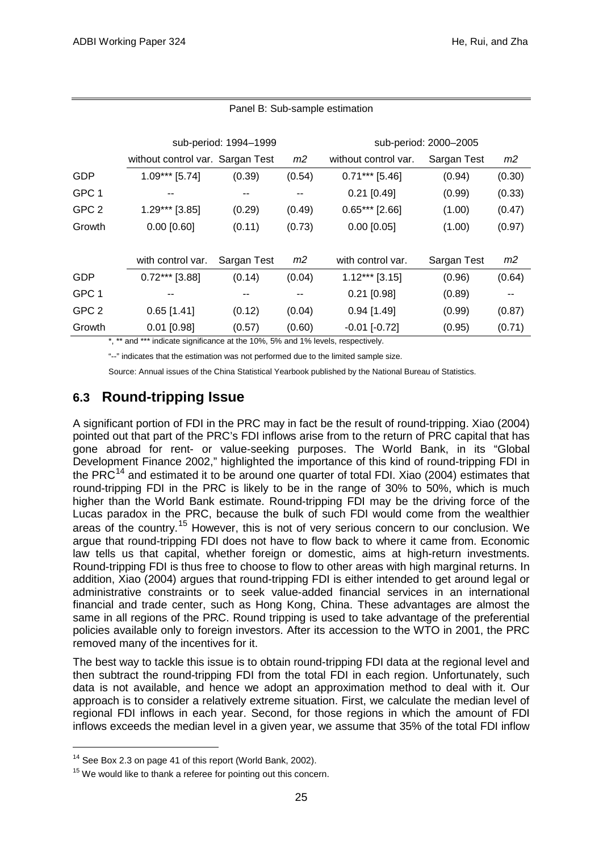|                  |                                  | sub-period: 1994-1999 |                | sub-period: 2000-2005 |             |                |  |  |  |
|------------------|----------------------------------|-----------------------|----------------|-----------------------|-------------|----------------|--|--|--|
|                  | without control var. Sargan Test |                       | m <sub>2</sub> | without control var.  | Sargan Test | m <sub>2</sub> |  |  |  |
| <b>GDP</b>       | $1.09***$ [5.74]                 | (0.39)                | (0.54)         | $0.71***$ [5.46]      | (0.94)      | (0.30)         |  |  |  |
| GPC 1            |                                  | --                    |                | $0.21$ [0.49]         | (0.99)      | (0.33)         |  |  |  |
| GPC <sub>2</sub> | 1.29*** [3.85]                   | (0.29)                | (0.49)         | $0.65***$ [2.66]      | (1.00)      | (0.47)         |  |  |  |
| Growth           | $0.00$ [0.60]<br>(0.11)          |                       | (0.73)         | $0.00$ [0.05]         | (1.00)      | (0.97)         |  |  |  |
|                  |                                  |                       |                |                       |             |                |  |  |  |
|                  | with control var.                | Sargan Test           | m2             | with control var.     | Sargan Test | m <sub>2</sub> |  |  |  |
| <b>GDP</b>       | $0.72***$ [3.88]                 | (0.14)                | (0.04)         | $1.12***$ [3.15]      | (0.96)      | (0.64)         |  |  |  |
| GPC <sub>1</sub> |                                  | --                    |                | $0.21$ [0.98]         | (0.89)      | --             |  |  |  |
| GPC <sub>2</sub> | $0.65$ [1.41]                    | (0.12)                | (0.04)         | $0.94$ [1.49]         | (0.99)      | (0.87)         |  |  |  |
| Growth           | $0.01$ [0.98]                    | (0.57)                | (0.60)         | $-0.01$ [ $-0.72$ ]   | (0.95)      | (0.71)         |  |  |  |

#### Panel B: Sub-sample estimation

\*, \*\* and \*\*\* indicate significance at the 10%, 5% and 1% levels, respectively.

"--" indicates that the estimation was not performed due to the limited sample size.

Source: Annual issues of the China Statistical Yearbook published by the National Bureau of Statistics.

### **6.3 Round-tripping Issue**

A significant portion of FDI in the PRC may in fact be the result of round-tripping. Xiao (2004) pointed out that part of the PRC's FDI inflows arise from to the return of PRC capital that has gone abroad for rent- or value-seeking purposes. The World Bank, in its "Global Development Finance 2002," highlighted the importance of this kind of round-tripping FDI in the PRC<sup>[14](#page-26-0)</sup> and estimated it to be around one quarter of total FDI. Xiao (2004) estimates that round-tripping FDI in the PRC is likely to be in the range of 30% to 50%, which is much higher than the World Bank estimate. Round-tripping FDI may be the driving force of the Lucas paradox in the PRC, because the bulk of such FDI would come from the wealthier areas of the country.<sup>[15](#page-26-1)</sup> However, this is not of very serious concern to our conclusion. We argue that round-tripping FDI does not have to flow back to where it came from. Economic law tells us that capital, whether foreign or domestic, aims at high-return investments. Round-tripping FDI is thus free to choose to flow to other areas with high marginal returns. In addition, Xiao (2004) argues that round-tripping FDI is either intended to get around legal or administrative constraints or to seek value-added financial services in an international financial and trade center, such as Hong Kong, China. These advantages are almost the same in all regions of the PRC. Round tripping is used to take advantage of the preferential policies available only to foreign investors. After its accession to the WTO in 2001, the PRC removed many of the incentives for it.

The best way to tackle this issue is to obtain round-tripping FDI data at the regional level and then subtract the round-tripping FDI from the total FDI in each region. Unfortunately, such data is not available, and hence we adopt an approximation method to deal with it. Our approach is to consider a relatively extreme situation. First, we calculate the median level of regional FDI inflows in each year. Second, for those regions in which the amount of FDI inflows exceeds the median level in a given year, we assume that 35% of the total FDI inflow

<span id="page-26-0"></span><sup>&</sup>lt;sup>14</sup> See Box 2.3 on page 41 of this report (World Bank, 2002).

<span id="page-26-1"></span> $15$  We would like to thank a referee for pointing out this concern.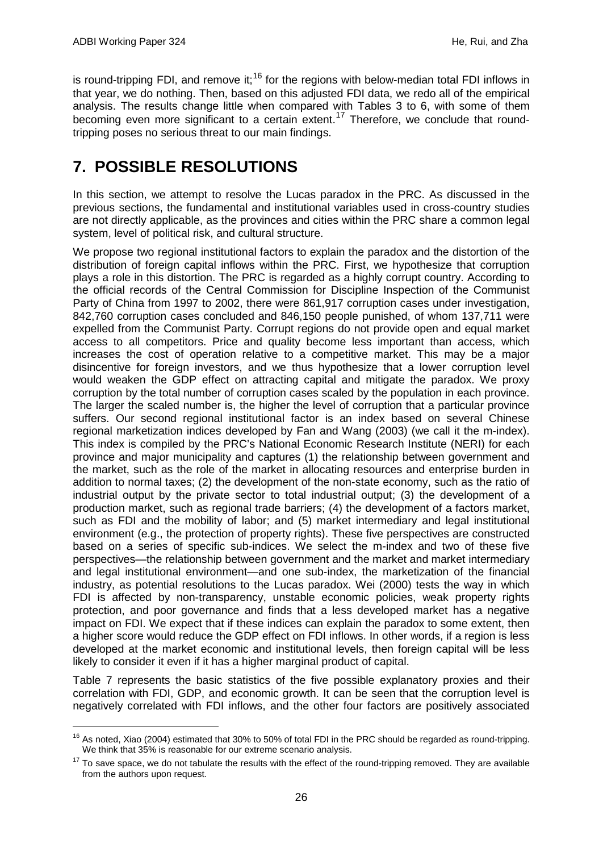is round-tripping FDI, and remove it;<sup>[16](#page-27-0)</sup> for the regions with below-median total FDI inflows in that year, we do nothing. Then, based on this adjusted FDI data, we redo all of the empirical analysis. The results change little when compared with Tables 3 to 6, with some of them becoming even more significant to a certain extent.<sup>[17](#page-27-1)</sup> Therefore, we conclude that roundtripping poses no serious threat to our main findings.

### **7. POSSIBLE RESOLUTIONS**

In this section, we attempt to resolve the Lucas paradox in the PRC. As discussed in the previous sections, the fundamental and institutional variables used in cross-country studies are not directly applicable, as the provinces and cities within the PRC share a common legal system, level of political risk, and cultural structure.

We propose two regional institutional factors to explain the paradox and the distortion of the distribution of foreign capital inflows within the PRC. First, we hypothesize that corruption plays a role in this distortion. The PRC is regarded as a highly corrupt country. According to the official records of the Central Commission for Discipline Inspection of the Communist Party of China from 1997 to 2002, there were 861,917 corruption cases under investigation, 842,760 corruption cases concluded and 846,150 people punished, of whom 137,711 were expelled from the Communist Party. Corrupt regions do not provide open and equal market access to all competitors. Price and quality become less important than access, which increases the cost of operation relative to a competitive market. This may be a major disincentive for foreign investors, and we thus hypothesize that a lower corruption level would weaken the GDP effect on attracting capital and mitigate the paradox. We proxy corruption by the total number of corruption cases scaled by the population in each province. The larger the scaled number is, the higher the level of corruption that a particular province suffers. Our second regional institutional factor is an index based on several Chinese regional marketization indices developed by Fan and Wang (2003) (we call it the m-index). This index is compiled by the PRC's National Economic Research Institute (NERI) for each province and major municipality and captures (1) the relationship between government and the market, such as the role of the market in allocating resources and enterprise burden in addition to normal taxes; (2) the development of the non-state economy, such as the ratio of industrial output by the private sector to total industrial output; (3) the development of a production market, such as regional trade barriers; (4) the development of a factors market, such as FDI and the mobility of labor; and (5) market intermediary and legal institutional environment (e.g., the protection of property rights). These five perspectives are constructed based on a series of specific sub-indices. We select the m-index and two of these five perspectives—the relationship between government and the market and market intermediary and legal institutional environment—and one sub-index, the marketization of the financial industry, as potential resolutions to the Lucas paradox. Wei (2000) tests the way in which FDI is affected by non-transparency, unstable economic policies, weak property rights protection, and poor governance and finds that a less developed market has a negative impact on FDI. We expect that if these indices can explain the paradox to some extent, then a higher score would reduce the GDP effect on FDI inflows. In other words, if a region is less developed at the market economic and institutional levels, then foreign capital will be less likely to consider it even if it has a higher marginal product of capital.

Table 7 represents the basic statistics of the five possible explanatory proxies and their correlation with FDI, GDP, and economic growth. It can be seen that the corruption level is negatively correlated with FDI inflows, and the other four factors are positively associated

<span id="page-27-0"></span> $16$  As noted, Xiao (2004) estimated that 30% to 50% of total FDI in the PRC should be regarded as round-tripping. We think that 35% is reasonable for our extreme scenario analysis.

<span id="page-27-1"></span> $17$  To save space, we do not tabulate the results with the effect of the round-tripping removed. They are available from the authors upon request.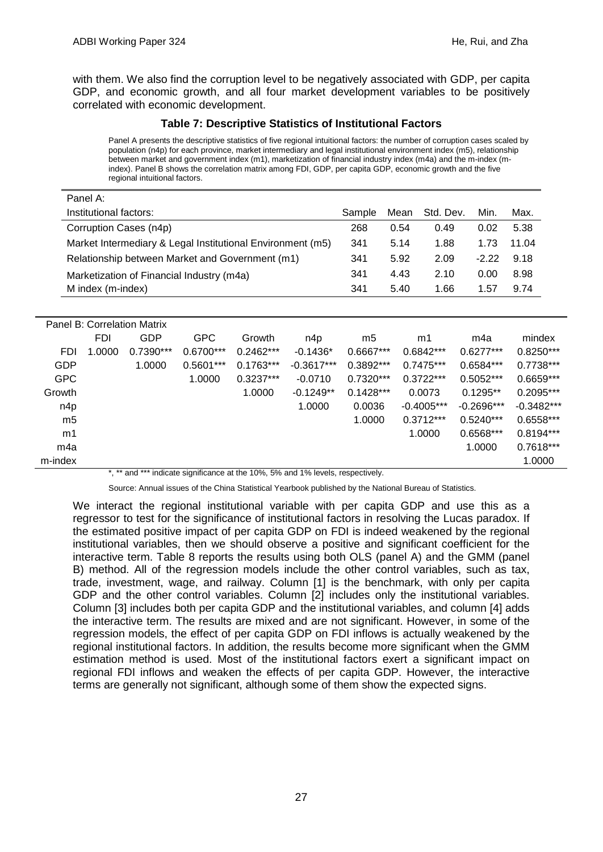with them. We also find the corruption level to be negatively associated with GDP, per capita GDP, and economic growth, and all four market development variables to be positively correlated with economic development.

#### **Table 7: Descriptive Statistics of Institutional Factors**

Panel A presents the descriptive statistics of five regional intuitional factors: the number of corruption cases scaled by population (n4p) for each province, market intermediary and legal institutional environment index (m5), relationship between market and government index (m1), marketization of financial industry index (m4a) and the m-index (mindex). Panel B shows the correlation matrix among FDI, GDP, per capita GDP, economic growth and the five regional intuitional factors.

| Panel A:                                                   |        |      |           |         |       |
|------------------------------------------------------------|--------|------|-----------|---------|-------|
| Institutional factors:                                     | Sample | Mean | Std. Dev. | Min.    | Max.  |
| Corruption Cases (n4p)                                     | 268    | 0.54 | 0.49      | 0.02    | 5.38  |
| Market Intermediary & Legal Institutional Environment (m5) | 341    | 5.14 | 1.88      | 1.73    | 11.04 |
| Relationship between Market and Government (m1)            | 341    | 5.92 | 2.09      | $-2.22$ | 9.18  |
| Marketization of Financial Industry (m4a)                  | 341    | 4.43 | 2.10      | 0.00    | 8.98  |
| M index (m-index)                                          | 341    | 5.40 | 1.66      | 1.57    | 9.74  |

| Panel B: Correlation Matrix |        |           |             |             |              |             |              |              |              |
|-----------------------------|--------|-----------|-------------|-------------|--------------|-------------|--------------|--------------|--------------|
|                             | FDI    | GDP       | <b>GPC</b>  | Growth      | n4p          | m5          | m1           | m4a          | mindex       |
| <b>FDI</b>                  | 1.0000 | 0.7390*** | $0.6700***$ | $0.2462***$ | $-0.1436*$   | $0.6667***$ | $0.6842***$  | $0.6277***$  | $0.8250***$  |
| GDP                         |        | 1.0000    | 0.5601***   | $0.1763***$ | $-0.3617***$ | 0.3892***   | $0.7475***$  | 0.6584***    | $0.7738***$  |
| <b>GPC</b>                  |        |           | 1.0000      | $0.3237***$ | $-0.0710$    | $0.7320***$ | $0.3722***$  | $0.5052***$  | $0.6659***$  |
| Growth                      |        |           |             | 1.0000      | $-0.1249**$  | $0.1428***$ | 0.0073       | $0.1295**$   | $0.2095***$  |
| n4p                         |        |           |             |             | 1.0000       | 0.0036      | $-0.4005***$ | $-0.2696***$ | $-0.3482***$ |
| m5                          |        |           |             |             |              | 1.0000      | $0.3712***$  | $0.5240***$  | $0.6558***$  |
| m1                          |        |           |             |             |              |             | 1.0000       | 0.6568***    | $0.8194***$  |
| m <sub>4</sub> a            |        |           |             |             |              |             |              | 1.0000       | $0.7618***$  |
| m-index                     |        |           |             |             |              |             |              |              | 1.0000       |

\*, \*\* and \*\*\* indicate significance at the 10%, 5% and 1% levels, respectively.

Source: Annual issues of the China Statistical Yearbook published by the National Bureau of Statistics.

We interact the regional institutional variable with per capita GDP and use this as a regressor to test for the significance of institutional factors in resolving the Lucas paradox. If the estimated positive impact of per capita GDP on FDI is indeed weakened by the regional institutional variables, then we should observe a positive and significant coefficient for the interactive term. Table 8 reports the results using both OLS (panel A) and the GMM (panel B) method. All of the regression models include the other control variables, such as tax, trade, investment, wage, and railway. Column [1] is the benchmark, with only per capita GDP and the other control variables. Column [2] includes only the institutional variables. Column [3] includes both per capita GDP and the institutional variables, and column [4] adds the interactive term. The results are mixed and are not significant. However, in some of the regression models, the effect of per capita GDP on FDI inflows is actually weakened by the regional institutional factors. In addition, the results become more significant when the GMM estimation method is used. Most of the institutional factors exert a significant impact on regional FDI inflows and weaken the effects of per capita GDP. However, the interactive terms are generally not significant, although some of them show the expected signs.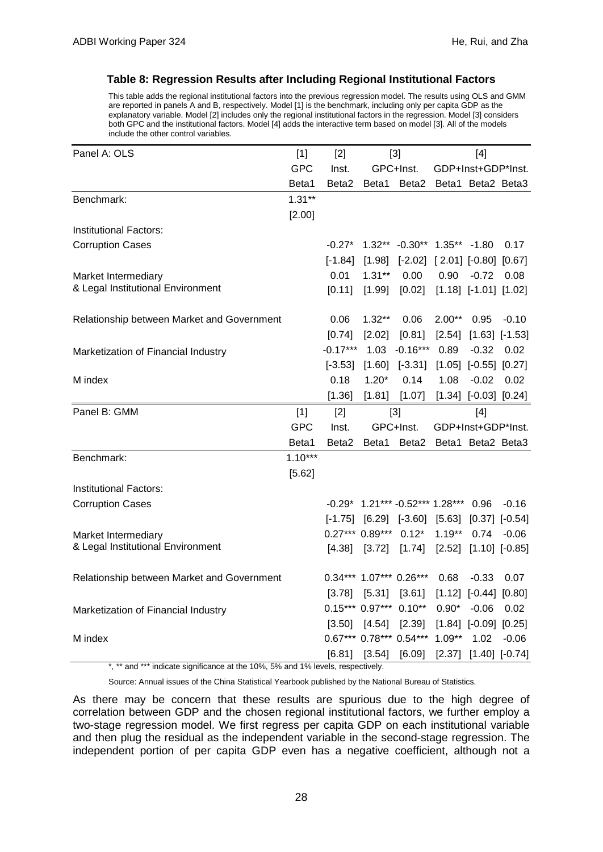#### **Table 8: Regression Results after Including Regional Institutional Factors**

This table adds the regional institutional factors into the previous regression model. The results using OLS and GMM are reported in panels A and B, respectively. Model [1] is the benchmark, including only per capita GDP as the explanatory variable. Model [2] includes only the regional institutional factors in the regression. Model [3] considers both GPC and the institutional factors. Model [4] adds the interactive term based on model [3]. All of the models include the other control variables.

| Panel A: OLS                               | $[1]$      | $[2]$      | $[3]$             |                                                | $[4]$              |                             |                    |
|--------------------------------------------|------------|------------|-------------------|------------------------------------------------|--------------------|-----------------------------|--------------------|
|                                            | <b>GPC</b> | Inst.      | GPC+Inst.         |                                                | GDP+Inst+GDP*Inst. |                             |                    |
|                                            | Beta1      | Beta2      | Beta1             | Beta2                                          |                    | Beta1 Beta2 Beta3           |                    |
| Benchmark:                                 | $1.31**$   |            |                   |                                                |                    |                             |                    |
|                                            | [2.00]     |            |                   |                                                |                    |                             |                    |
| <b>Institutional Factors:</b>              |            |            |                   |                                                |                    |                             |                    |
| <b>Corruption Cases</b>                    |            | $-0.27*$   |                   | $1.32** -0.30** 1.35** -1.80$                  |                    |                             | 0.17               |
|                                            |            | $[-1.84]$  |                   | $[1.98]$ $[-2.02]$ $[2.01]$ $[-0.80]$ $[0.67]$ |                    |                             |                    |
| Market Intermediary                        |            | 0.01       | $1.31**$          | 0.00                                           | 0.90               | $-0.72$                     | 0.08               |
| & Legal Institutional Environment          |            | [0.11]     | [1.99]            | [0.02]                                         |                    | $[1.18]$ [-1.01] [1.02]     |                    |
| Relationship between Market and Government |            | 0.06       | $1.32**$          | 0.06                                           | $2.00**$           | 0.95                        | $-0.10$            |
|                                            |            | [0.74]     | [2.02]            | [0.81]                                         |                    | $[2.54]$ $[1.63]$ $[-1.53]$ |                    |
| Marketization of Financial Industry        |            | $-0.17***$ |                   | $1.03 -0.16***$                                | 0.89               | $-0.32$                     | 0.02               |
|                                            |            | $[-3.53]$  | [1.60]            | $[-3.31]$                                      |                    | $[1.05]$ $[-0.55]$ $[0.27]$ |                    |
| M index                                    |            | 0.18       | $1.20*$           | 0.14                                           | 1.08               | $-0.02$                     | 0.02               |
|                                            |            | [1.36]     | [1.81]            | [1.07]                                         |                    | $[1.34]$ $[-0.03]$ $[0.24]$ |                    |
| Panel B: GMM                               | $[1]$      | $[2]$      |                   | $[3]$                                          |                    | $[4]$                       |                    |
|                                            | <b>GPC</b> | Inst.      |                   | GPC+Inst.                                      |                    | GDP+Inst+GDP*Inst.          |                    |
|                                            | Beta1      | Beta2      | Beta1             | Beta2                                          |                    | Beta1 Beta2 Beta3           |                    |
| Benchmark:                                 | $1.10***$  |            |                   |                                                |                    |                             |                    |
|                                            | [5.62]     |            |                   |                                                |                    |                             |                    |
| <b>Institutional Factors:</b>              |            |            |                   |                                                |                    |                             |                    |
| <b>Corruption Cases</b>                    |            |            |                   | -0.29* 1.21*** -0.52*** 1.28*** 0.96           |                    |                             | $-0.16$            |
|                                            |            | $[-1.75]$  |                   | $[6.29]$ $[-3.60]$ $[5.63]$                    |                    |                             | $[0.37]$ [-0.54]   |
| Market Intermediary                        |            |            | $0.27***$ 0.89*** | $0.12*$                                        | $1.19**$           | 0.74                        | $-0.06$            |
| & Legal Institutional Environment          |            | [4.38]     | $[3.72]$          | [1.74]                                         |                    | $[2.52]$ $[1.10]$ $[-0.85]$ |                    |
| Relationship between Market and Government |            |            |                   | $0.34***$ 1.07*** 0.26***                      | 0.68               | $-0.33$                     | 0.07               |
|                                            |            | [3.78]     | [5.31]            | [3.61]                                         |                    | $[1.12]$ $[-0.44]$ $[0.80]$ |                    |
| Marketization of Financial Industry        |            |            | $0.15***$ 0.97*** | $0.10**$                                       | $0.90*$            | $-0.06$                     | 0.02               |
|                                            |            | [3.50]     | [4.54]            | [2.39]                                         |                    | $[1.84]$ $[-0.09]$ $[0.25]$ |                    |
| M index                                    |            |            |                   | 0.67*** 0.78*** 0.54***                        | $1.09**$           | 1.02                        | $-0.06$            |
|                                            |            | [6.81]     | [3.54]            | [6.09]                                         | [2.37]             |                             | $[1.40]$ $[-0.74]$ |

\*, \*\* and \*\*\* indicate significance at the 10%, 5% and 1% levels, respectively.

Source: Annual issues of the China Statistical Yearbook published by the National Bureau of Statistics.

As there may be concern that these results are spurious due to the high degree of correlation between GDP and the chosen regional institutional factors, we further employ a two-stage regression model. We first regress per capita GDP on each institutional variable and then plug the residual as the independent variable in the second-stage regression. The independent portion of per capita GDP even has a negative coefficient, although not a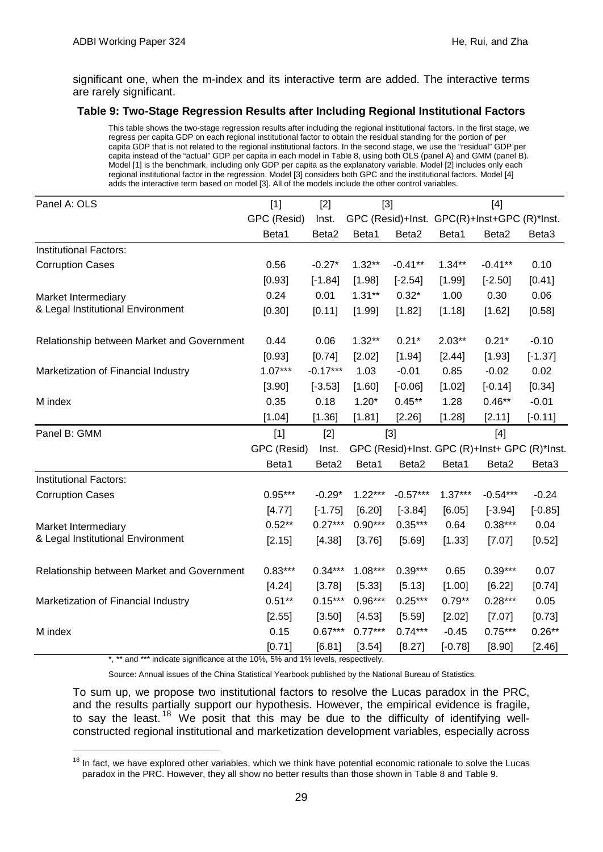significant one, when the m-index and its interactive term are added. The interactive terms are rarely significant.

#### **Table 9: Two-Stage Regression Results after Including Regional Institutional Factors**

This table shows the two-stage regression results after including the regional institutional factors. In the first stage, we regress per capita GDP on each regional institutional factor to obtain the residual standing for the portion of per capita GDP that is not related to the regional institutional factors. In the second stage, we use the "residual" GDP per capita instead of the "actual" GDP per capita in each model in Table 8, using both OLS (panel A) and GMM (panel B). Model [1] is the benchmark, including only GDP per capita as the explanatory variable. Model [2] includes only each regional institutional factor in the regression. Model [3] considers both GPC and the institutional factors. Model [4] adds the interactive term based on model [3]. All of the models include the other control variables.

| Panel A: OLS                               | $[1]$       | $[2]$      | $[3]$     |                   | $[4]$     |                                               |                   |
|--------------------------------------------|-------------|------------|-----------|-------------------|-----------|-----------------------------------------------|-------------------|
|                                            | GPC (Resid) | Inst.      |           |                   |           | GPC (Resid)+Inst. GPC(R)+Inst+GPC (R)*Inst.   |                   |
|                                            | Beta1       | Beta2      | Beta1     | Beta <sub>2</sub> | Beta1     | Beta2                                         | Beta <sub>3</sub> |
| <b>Institutional Factors:</b>              |             |            |           |                   |           |                                               |                   |
| <b>Corruption Cases</b>                    | 0.56        | $-0.27*$   | $1.32**$  | $-0.41***$        | $1.34***$ | $-0.41***$                                    | 0.10              |
|                                            | [0.93]      | $[-1.84]$  | [1.98]    | $[-2.54]$         | [1.99]    | $[-2.50]$                                     | [0.41]            |
| Market Intermediary                        | 0.24        | 0.01       | $1.31**$  | $0.32*$           | 1.00      | 0.30                                          | 0.06              |
| & Legal Institutional Environment          | [0.30]      | [0.11]     | [1.99]    | [1.82]            | [1.18]    | [1.62]                                        | [0.58]            |
| Relationship between Market and Government | 0.44        | 0.06       | $1.32**$  | $0.21*$           | $2.03***$ | $0.21*$                                       | $-0.10$           |
|                                            | [0.93]      | [0.74]     | [2.02]    | [1.94]            | [2.44]    | [1.93]                                        | $[-1.37]$         |
| Marketization of Financial Industry        | $1.07***$   | $-0.17***$ | 1.03      | $-0.01$           | 0.85      | $-0.02$                                       | 0.02              |
|                                            | [3.90]      | $[-3.53]$  | [1.60]    | $[-0.06]$         | [1.02]    | $[-0.14]$                                     | [0.34]            |
| M index                                    | 0.35        | 0.18       | $1.20*$   | $0.45***$         | 1.28      | $0.46**$                                      | $-0.01$           |
|                                            | [1.04]      | [1.36]     | [1.81]    | [2.26]            | [1.28]    | [2.11]                                        | $[-0.11]$         |
| Panel B: GMM                               | $[1]$       | $[2]$      |           | $[3]$             |           | $[4]$                                         |                   |
|                                            | GPC (Resid) | Inst.      |           |                   |           | GPC (Resid)+Inst. GPC (R)+Inst+ GPC (R)*Inst. |                   |
|                                            | Beta1       | Beta2      | Beta1     | Beta2             | Beta1     | Beta2                                         | Beta3             |
| <b>Institutional Factors:</b>              |             |            |           |                   |           |                                               |                   |
| <b>Corruption Cases</b>                    | $0.95***$   | $-0.29*$   | $1.22***$ | $-0.57***$        | $1.37***$ | $-0.54***$                                    | $-0.24$           |
|                                            | [4.77]      | $[-1.75]$  | [6.20]    | $[-3.84]$         | [6.05]    | $[-3.94]$                                     | $[-0.85]$         |
| Market Intermediary                        | $0.52**$    | $0.27***$  | $0.90***$ | $0.35***$         | 0.64      | $0.38***$                                     | 0.04              |
| & Legal Institutional Environment          | [2.15]      | [4.38]     | [3.76]    | [5.69]            | [1.33]    | [7.07]                                        | [0.52]            |
| Relationship between Market and Government | $0.83***$   | $0.34***$  | $1.08***$ | $0.39***$         | 0.65      | $0.39***$                                     | 0.07              |
|                                            | [4.24]      | [3.78]     | [5.33]    | [5.13]            | [1.00]    | [6.22]                                        | [0.74]            |
| Marketization of Financial Industry        | $0.51**$    | $0.15***$  | $0.96***$ | $0.25***$         | $0.79**$  | $0.28***$                                     | 0.05              |
|                                            | [2.55]      | [3.50]     | [4.53]    | [5.59]            | [2.02]    | [7.07]                                        | [0.73]            |
| M index                                    | 0.15        | $0.67***$  | $0.77***$ | $0.74***$         | $-0.45$   | $0.75***$                                     | $0.26**$          |
|                                            | [0.71]      | [6.81]     | [3.54]    | [8.27]            | $[-0.78]$ | [8.90]                                        | [2.46]            |

\*, \*\* and \*\*\* indicate significance at the 10%, 5% and 1% levels, respectively.

Source: Annual issues of the China Statistical Yearbook published by the National Bureau of Statistics.

To sum up, we propose two institutional factors to resolve the Lucas paradox in the PRC, and the results partially support our hypothesis. However, the empirical evidence is fragile, to say the least.<sup>[18](#page-30-0)</sup> We posit that this may be due to the difficulty of identifying wellconstructed regional institutional and marketization development variables, especially across

<span id="page-30-0"></span> $18$  In fact, we have explored other variables, which we think have potential economic rationale to solve the Lucas paradox in the PRC. However, they all show no better results than those shown in Table 8 and Table 9.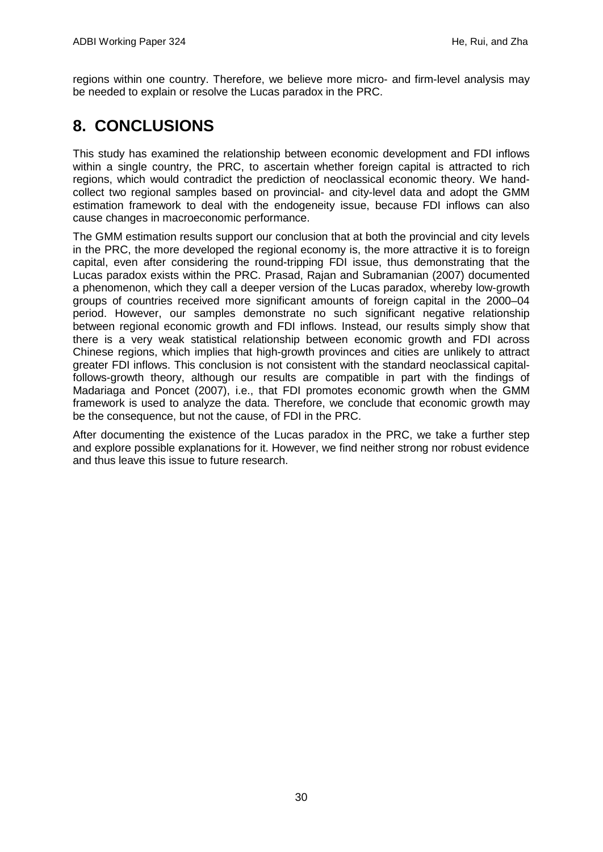regions within one country. Therefore, we believe more micro- and firm-level analysis may be needed to explain or resolve the Lucas paradox in the PRC.

## **8. CONCLUSIONS**

This study has examined the relationship between economic development and FDI inflows within a single country, the PRC, to ascertain whether foreign capital is attracted to rich regions, which would contradict the prediction of neoclassical economic theory. We handcollect two regional samples based on provincial- and city-level data and adopt the GMM estimation framework to deal with the endogeneity issue, because FDI inflows can also cause changes in macroeconomic performance.

The GMM estimation results support our conclusion that at both the provincial and city levels in the PRC, the more developed the regional economy is, the more attractive it is to foreign capital, even after considering the round-tripping FDI issue, thus demonstrating that the Lucas paradox exists within the PRC. Prasad, Rajan and Subramanian (2007) documented a phenomenon, which they call a deeper version of the Lucas paradox, whereby low-growth groups of countries received more significant amounts of foreign capital in the 2000–04 period. However, our samples demonstrate no such significant negative relationship between regional economic growth and FDI inflows. Instead, our results simply show that there is a very weak statistical relationship between economic growth and FDI across Chinese regions, which implies that high-growth provinces and cities are unlikely to attract greater FDI inflows. This conclusion is not consistent with the standard neoclassical capitalfollows-growth theory, although our results are compatible in part with the findings of Madariaga and Poncet (2007), i.e., that FDI promotes economic growth when the GMM framework is used to analyze the data. Therefore, we conclude that economic growth may be the consequence, but not the cause, of FDI in the PRC.

After documenting the existence of the Lucas paradox in the PRC, we take a further step and explore possible explanations for it. However, we find neither strong nor robust evidence and thus leave this issue to future research.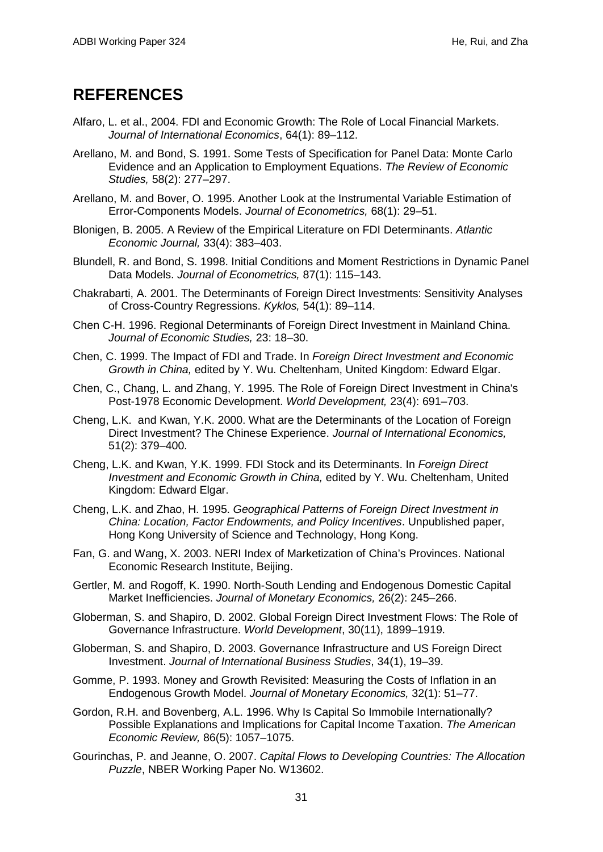### **REFERENCES**

- Alfaro, L. et al., 2004. FDI and Economic Growth: The Role of Local Financial Markets. *Journal of International Economics*, 64(1): 89–112.
- Arellano, M. and Bond, S. 1991. Some Tests of Specification for Panel Data: Monte Carlo Evidence and an Application to Employment Equations. *The Review of Economic Studies,* 58(2): 277–297.
- Arellano, M. and Bover, O. 1995. Another Look at the Instrumental Variable Estimation of Error-Components Models. *Journal of Econometrics,* 68(1): 29–51.
- Blonigen, B. 2005. A Review of the Empirical Literature on FDI Determinants. *Atlantic Economic Journal,* 33(4): 383–403.
- Blundell, R. and Bond, S. 1998. Initial Conditions and Moment Restrictions in Dynamic Panel Data Models. *Journal of Econometrics,* 87(1): 115–143.
- Chakrabarti, A. 2001. The Determinants of Foreign Direct Investments: Sensitivity Analyses of Cross-Country Regressions. *Kyklos,* 54(1): 89–114.
- Chen C-H. 1996. Regional Determinants of Foreign Direct Investment in Mainland China. *Journal of Economic Studies,* 23: 18–30.
- Chen, C. 1999. The Impact of FDI and Trade. In *Foreign Direct Investment and Economic Growth in China,* edited by Y. Wu. Cheltenham, United Kingdom: Edward Elgar.
- Chen, C., Chang, L. and Zhang, Y. 1995. The Role of Foreign Direct Investment in China's Post-1978 Economic Development. *World Development,* 23(4): 691–703.
- Cheng, L.K. and Kwan, Y.K. 2000. What are the Determinants of the Location of Foreign Direct Investment? The Chinese Experience. *Journal of International Economics,*  51(2): 379–400.
- Cheng, L.K. and Kwan, Y.K. 1999. FDI Stock and its Determinants. In *Foreign Direct Investment and Economic Growth in China,* edited by Y. Wu. Cheltenham, United Kingdom: Edward Elgar.
- Cheng, L.K. and Zhao, H. 1995. *Geographical Patterns of Foreign Direct Investment in China: Location, Factor Endowments, and Policy Incentives*. Unpublished paper, Hong Kong University of Science and Technology, Hong Kong.
- Fan, G. and Wang, X. 2003. NERI Index of Marketization of China's Provinces. National Economic Research Institute, Beijing.
- Gertler, M. and Rogoff, K. 1990. North-South Lending and Endogenous Domestic Capital Market Inefficiencies. *Journal of Monetary Economics,* 26(2): 245–266.
- Globerman, S. and Shapiro, D. 2002. Global Foreign Direct Investment Flows: The Role of Governance Infrastructure. *World Development*, 30(11), 1899–1919.
- Globerman, S. and Shapiro, D. 2003. Governance Infrastructure and US Foreign Direct Investment. *Journal of International Business Studies*, 34(1), 19–39.
- Gomme, P. 1993. Money and Growth Revisited: Measuring the Costs of Inflation in an Endogenous Growth Model. *Journal of Monetary Economics,* 32(1): 51–77.
- Gordon, R.H. and Bovenberg, A.L. 1996. Why Is Capital So Immobile Internationally? Possible Explanations and Implications for Capital Income Taxation. *The American Economic Review,* 86(5): 1057–1075.
- Gourinchas, P. and Jeanne, O. 2007. *Capital Flows to Developing Countries: The Allocation Puzzle*, NBER Working Paper No. W13602.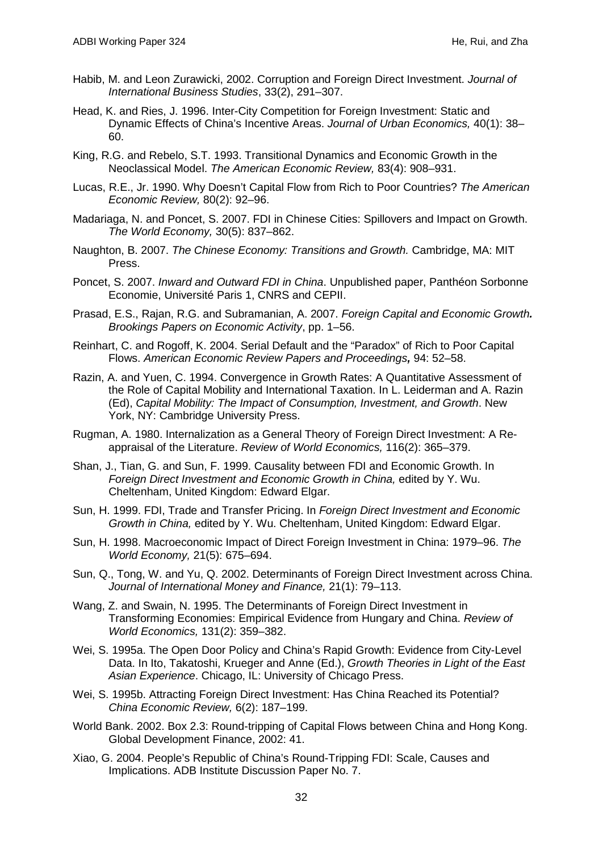- Habib, M. and Leon Zurawicki, 2002. Corruption and Foreign Direct Investment. *Journal of International Business Studies*, 33(2), 291–307.
- Head, K. and Ries, J. 1996. Inter-City Competition for Foreign Investment: Static and Dynamic Effects of China's Incentive Areas. *Journal of Urban Economics,* 40(1): 38– 60.
- King, R.G. and Rebelo, S.T. 1993. Transitional Dynamics and Economic Growth in the Neoclassical Model. *The American Economic Review,* 83(4): 908–931.
- Lucas, R.E., Jr. 1990. Why Doesn't Capital Flow from Rich to Poor Countries? *The American Economic Review,* 80(2): 92–96.
- Madariaga, N. and Poncet, S. 2007. FDI in Chinese Cities: Spillovers and Impact on Growth. *The World Economy,* 30(5): 837–862.
- Naughton, B. 2007. *The Chinese Economy: Transitions and Growth.* Cambridge, MA: MIT Press.
- Poncet, S. 2007. *Inward and Outward FDI in China*. Unpublished paper, Panthéon Sorbonne Economie, Université Paris 1, CNRS and CEPII.
- Prasad, E.S., Rajan, R.G. and Subramanian, A. 2007. *Foreign Capital and Economic Growth. Brookings Papers on Economic Activity*, pp. 1–56.
- Reinhart, C. and Rogoff, K. 2004. Serial Default and the "Paradox" of Rich to Poor Capital Flows. *American Economic Review Papers and Proceedings,* 94: 52–58.
- Razin, A. and Yuen, C. 1994. Convergence in Growth Rates: A Quantitative Assessment of the Role of Capital Mobility and International Taxation. In L. Leiderman and A. Razin (Ed), *Capital Mobility: The Impact of Consumption, Investment, and Growth*. New York, NY: Cambridge University Press.
- Rugman, A. 1980. Internalization as a General Theory of Foreign Direct Investment: A Reappraisal of the Literature. *Review of World Economics,* 116(2): 365–379.
- Shan, J., Tian, G. and Sun, F. 1999. Causality between FDI and Economic Growth. In *Foreign Direct Investment and Economic Growth in China,* edited by Y. Wu. Cheltenham, United Kingdom: Edward Elgar.
- Sun, H. 1999. FDI, Trade and Transfer Pricing. In *Foreign Direct Investment and Economic Growth in China,* edited by Y. Wu. Cheltenham, United Kingdom: Edward Elgar.
- Sun, H. 1998. Macroeconomic Impact of Direct Foreign Investment in China: 1979–96. *The World Economy,* 21(5): 675–694.
- Sun, Q., Tong, W. and Yu, Q. 2002. Determinants of Foreign Direct Investment across China. *Journal of International Money and Finance,* 21(1): 79–113.
- Wang, Z. and Swain, N. 1995. The Determinants of Foreign Direct Investment in Transforming Economies: Empirical Evidence from Hungary and China. *Review of World Economics,* 131(2): 359–382.
- Wei, S. 1995a. The Open Door Policy and China's Rapid Growth: Evidence from City-Level Data. In Ito, Takatoshi, Krueger and Anne (Ed.), *Growth Theories in Light of the East Asian Experience*. Chicago, IL: University of Chicago Press.
- Wei, S. 1995b. Attracting Foreign Direct Investment: Has China Reached its Potential? *China Economic Review,* 6(2): 187–199.
- World Bank. 2002. Box 2.3: Round-tripping of Capital Flows between China and Hong Kong. Global Development Finance, 2002: 41.
- Xiao, G. 2004. People's Republic of China's Round-Tripping FDI: Scale, Causes and Implications. ADB Institute Discussion Paper No. 7.